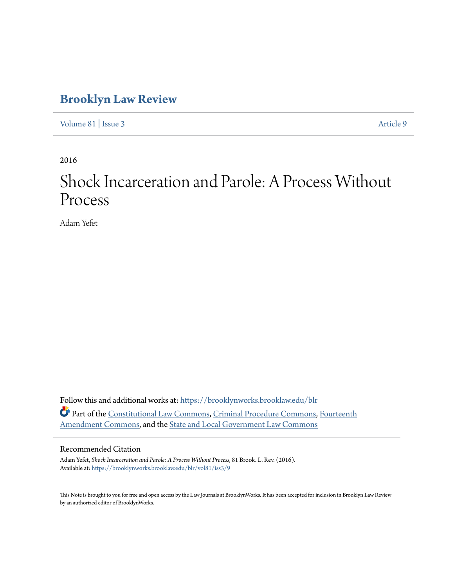# **[Brooklyn Law Review](https://brooklynworks.brooklaw.edu/blr?utm_source=brooklynworks.brooklaw.edu%2Fblr%2Fvol81%2Fiss3%2F9&utm_medium=PDF&utm_campaign=PDFCoverPages)**

[Volume 81](https://brooklynworks.brooklaw.edu/blr/vol81?utm_source=brooklynworks.brooklaw.edu%2Fblr%2Fvol81%2Fiss3%2F9&utm_medium=PDF&utm_campaign=PDFCoverPages) | [Issue 3](https://brooklynworks.brooklaw.edu/blr/vol81/iss3?utm_source=brooklynworks.brooklaw.edu%2Fblr%2Fvol81%2Fiss3%2F9&utm_medium=PDF&utm_campaign=PDFCoverPages) [Article 9](https://brooklynworks.brooklaw.edu/blr/vol81/iss3/9?utm_source=brooklynworks.brooklaw.edu%2Fblr%2Fvol81%2Fiss3%2F9&utm_medium=PDF&utm_campaign=PDFCoverPages)

2016

# Shock Incarceration and Parole: A Process Without Process

Adam Yefet

Follow this and additional works at: [https://brooklynworks.brooklaw.edu/blr](https://brooklynworks.brooklaw.edu/blr?utm_source=brooklynworks.brooklaw.edu%2Fblr%2Fvol81%2Fiss3%2F9&utm_medium=PDF&utm_campaign=PDFCoverPages) Part of the [Constitutional Law Commons,](http://network.bepress.com/hgg/discipline/589?utm_source=brooklynworks.brooklaw.edu%2Fblr%2Fvol81%2Fiss3%2F9&utm_medium=PDF&utm_campaign=PDFCoverPages) [Criminal Procedure Commons](http://network.bepress.com/hgg/discipline/1073?utm_source=brooklynworks.brooklaw.edu%2Fblr%2Fvol81%2Fiss3%2F9&utm_medium=PDF&utm_campaign=PDFCoverPages), [Fourteenth](http://network.bepress.com/hgg/discipline/1116?utm_source=brooklynworks.brooklaw.edu%2Fblr%2Fvol81%2Fiss3%2F9&utm_medium=PDF&utm_campaign=PDFCoverPages) [Amendment Commons](http://network.bepress.com/hgg/discipline/1116?utm_source=brooklynworks.brooklaw.edu%2Fblr%2Fvol81%2Fiss3%2F9&utm_medium=PDF&utm_campaign=PDFCoverPages), and the [State and Local Government Law Commons](http://network.bepress.com/hgg/discipline/879?utm_source=brooklynworks.brooklaw.edu%2Fblr%2Fvol81%2Fiss3%2F9&utm_medium=PDF&utm_campaign=PDFCoverPages)

## Recommended Citation

Adam Yefet, *Shock Incarceration and Parole: A Process Without Process*, 81 Brook. L. Rev. (2016). Available at: [https://brooklynworks.brooklaw.edu/blr/vol81/iss3/9](https://brooklynworks.brooklaw.edu/blr/vol81/iss3/9?utm_source=brooklynworks.brooklaw.edu%2Fblr%2Fvol81%2Fiss3%2F9&utm_medium=PDF&utm_campaign=PDFCoverPages)

This Note is brought to you for free and open access by the Law Journals at BrooklynWorks. It has been accepted for inclusion in Brooklyn Law Review by an authorized editor of BrooklynWorks.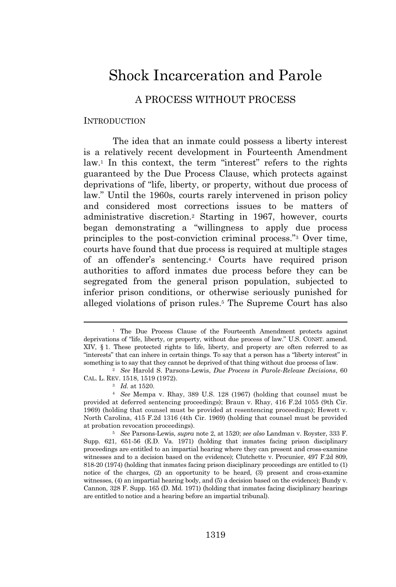# Shock Incarceration and Parole

# A PROCESS WITHOUT PROCESS

#### INTRODUCTION

The idea that an inmate could possess a liberty interest is a relatively recent development in Fourteenth Amendment law.<sup>1</sup> In this context, the term "interest" refers to the rights guaranteed by the Due Process Clause, which protects against deprivations of "life, liberty, or property, without due process of law." Until the 1960s, courts rarely intervened in prison policy and considered most corrections issues to be matters of administrative discretion.<sup>2</sup> Starting in 1967, however, courts began demonstrating a "willingness to apply due process principles to the post-conviction criminal process." <sup>3</sup> Over time, courts have found that due process is required at multiple stages of an offender's sentencing.<sup>4</sup> Courts have required prison authorities to afford inmates due process before they can be segregated from the general prison population, subjected to inferior prison conditions, or otherwise seriously punished for alleged violations of prison rules.<sup>5</sup> The Supreme Court has also

<sup>&</sup>lt;sup>1</sup> The Due Process Clause of the Fourteenth Amendment protects against deprivations of "life, liberty, or property, without due process of law." U.S. CONST. amend. XIV, § 1. These protected rights to life, liberty, and property are often referred to as "interests" that can inhere in certain things. To say that a person has a "liberty interest" in something is to say that they cannot be deprived of that thing without due process of law.

<sup>2</sup> *See* Harold S. Parsons-Lewis, *Due Process in Parole-Release Decisions*, 60 CAL. L. REV. 1518, 1519 (1972).

<sup>3</sup> *Id.* at 1520.

<sup>4</sup> *See* Mempa v. Rhay, 389 U.S. 128 (1967) (holding that counsel must be provided at deferred sentencing proceedings); Braun v. Rhay, 416 F.2d 1055 (9th Cir. 1969) (holding that counsel must be provided at resentencing proceedings); Hewett v. North Carolina, 415 F.2d 1316 (4th Cir. 1969) (holding that counsel must be provided at probation revocation proceedings).

<sup>5</sup> *See* Parsons-Lewis, *supra* note 2, at 1520; *see also* Landman v. Royster, 333 F. Supp. 621, 651-56 (E.D. Va. 1971) (holding that inmates facing prison disciplinary proceedings are entitled to an impartial hearing where they can present and cross-examine witnesses and to a decision based on the evidence); Clutchette v. Procunier, 497 F.2d 809, 818-20 (1974) (holding that inmates facing prison disciplinary proceedings are entitled to (1) notice of the charges, (2) an opportunity to be heard, (3) present and cross-examine witnesses, (4) an impartial hearing body, and (5) a decision based on the evidence); Bundy v. Cannon, 328 F. Supp. 165 (D. Md. 1971) (holding that inmates facing disciplinary hearings are entitled to notice and a hearing before an impartial tribunal).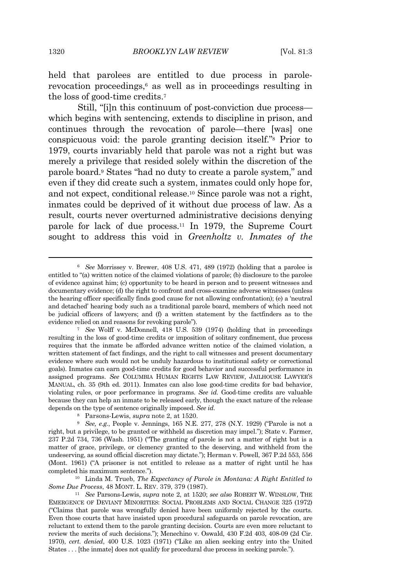held that parolees are entitled to due process in parolerevocation proceedings,<sup>6</sup> as well as in proceedings resulting in the loss of good-time credits.<sup>7</sup>

Still, "[i]n this continuum of post-conviction due process which begins with sentencing, extends to discipline in prison, and continues through the revocation of parole—there [was] one conspicuous void: the parole granting decision itself." <sup>8</sup> Prior to 1979, courts invariably held that parole was not a right but was merely a privilege that resided solely within the discretion of the parole board.<sup>9</sup> States "had no duty to create a parole system," and even if they did create such a system, inmates could only hope for, and not expect, conditional release.<sup>10</sup> Since parole was not a right, inmates could be deprived of it without due process of law. As a result, courts never overturned administrative decisions denying parole for lack of due process.<sup>11</sup> In 1979, the Supreme Court sought to address this void in *Greenholtz v. Inmates of the*

<sup>6</sup> *See* Morrissey v. Brewer, 408 U.S. 471, 489 (1972) (holding that a parolee is entitled to "(a) written notice of the claimed violations of parole; (b) disclosure to the parolee of evidence against him; (c) opportunity to be heard in person and to present witnesses and documentary evidence; (d) the right to confront and cross-examine adverse witnesses (unless the hearing officer specifically finds good cause for not allowing confrontation); (e) a 'neutral and detached' hearing body such as a traditional parole board, members of which need not be judicial officers of lawyers; and (f) a written statement by the factfinders as to the evidence relied on and reasons for revoking parole").

<sup>7</sup> *See* Wolff v. McDonnell, 418 U.S. 539 (1974) (holding that in proceedings resulting in the loss of good-time credits or imposition of solitary confinement, due process requires that the inmate be afforded advance written notice of the claimed violation, a written statement of fact findings, and the right to call witnesses and present documentary evidence where such would not be unduly hazardous to institutional safety or correctional goals). Inmates can earn good-time credits for good behavior and successful performance in assigned programs. *See* COLUMBIA HUMAN RIGHTS LAW REVIEW, JAILHOUSE LAWYER'<sup>S</sup> MANUAL, ch. 35 (9th ed. 2011). Inmates can also lose good-time credits for bad behavior, violating rules, or poor performance in programs. *See id.* Good-time credits are valuable because they can help an inmate to be released early, though the exact nature of the release depends on the type of sentence originally imposed. *See id.*

<sup>8</sup> Parsons-Lewis, *supra* note 2, at 1520.

<sup>9</sup> *See, e.g.*, People v. Jennings, 165 N.E. 277, 278 (N.Y. 1929) ("Parole is not a right, but a privilege, to be granted or withheld as discretion may impel."); State v. Farmer, 237 P.2d 734, 736 (Wash. 1951) ("The granting of parole is not a matter of right but is a matter of grace, privilege, or clemency granted to the deserving, and withheld from the undeserving, as sound official discretion may dictate."); Herman v. Powell, 367 P.2d 553, 556 (Mont. 1961) ("A prisoner is not entitled to release as a matter of right until he has completed his maximum sentence.").

<sup>10</sup> Linda M. Trueb, *The Expectancy of Parole in Montana: A Right Entitled to Some Due Process*, 48 MONT. L. REV. 379, 379 (1987).

<sup>11</sup> *See* Parsons-Lewis, *supra* note 2, at 1520; *see also* ROBERT W. WINSLOW, THE EMERGENCE OF DEVIANT MINORITIES: SOCIAL PROBLEMS AND SOCIAL CHANGE 325 (1972) ("Claims that parole was wrongfully denied have been uniformly rejected by the courts. Even those courts that have insisted upon procedural safeguards on parole revocation, are reluctant to extend them to the parole granting decision. Courts are even more reluctant to review the merits of such decisions."); Menechino v. Oswald, 430 F.2d 403, 408-09 (2d Cir. 1970), *cert. denied*, 400 U.S. 1023 (1971) ("Like an alien seeking entry into the United States . . . [the inmate] does not qualify for procedural due process in seeking parole.").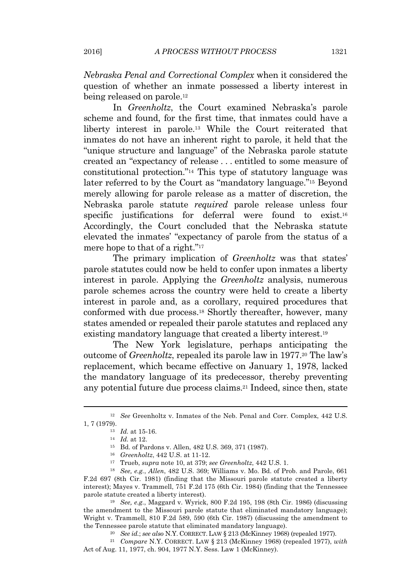*Nebraska Penal and Correctional Complex* when it considered the question of whether an inmate possessed a liberty interest in being released on parole.<sup>12</sup>

In *Greenholtz*, the Court examined Nebraska's parole scheme and found, for the first time, that inmates could have a liberty interest in parole.<sup>13</sup> While the Court reiterated that inmates do not have an inherent right to parole, it held that the "unique structure and language" of the Nebraska parole statute created an "expectancy of release . . . entitled to some measure of constitutional protection." <sup>14</sup> This type of statutory language was later referred to by the Court as "mandatory language." <sup>15</sup> Beyond merely allowing for parole release as a matter of discretion, the Nebraska parole statute *required* parole release unless four specific justifications for deferral were found to exist.<sup>16</sup> Accordingly, the Court concluded that the Nebraska statute elevated the inmates' "expectancy of parole from the status of a mere hope to that of a right." 17

The primary implication of *Greenholtz* was that states' parole statutes could now be held to confer upon inmates a liberty interest in parole. Applying the *Greenholtz* analysis, numerous parole schemes across the country were held to create a liberty interest in parole and, as a corollary, required procedures that conformed with due process.<sup>18</sup> Shortly thereafter, however, many states amended or repealed their parole statutes and replaced any existing mandatory language that created a liberty interest.<sup>19</sup>

The New York legislature, perhaps anticipating the outcome of *Greenholtz*, repealed its parole law in 1977.<sup>20</sup> The law's replacement, which became effective on January 1, 1978, lacked the mandatory language of its predecessor, thereby preventing any potential future due process claims.<sup>21</sup> Indeed, since then, state

<sup>19</sup> *See, e.g.*, Maggard v. Wyrick, 800 F.2d 195, 198 (8th Cir. 1986) (discussing the amendment to the Missouri parole statute that eliminated mandatory language); Wright v. Trammell, 810 F.2d 589, 590 (6th Cir. 1987) (discussing the amendment to the Tennessee parole statute that eliminated mandatory language).

<sup>20</sup> *See id.*; *see also* N.Y. CORRECT. LAW § 213 (McKinney 1968) (repealed 1977).

<sup>21</sup> *Compare* N.Y. CORRECT. LAW § 213 (McKinney 1968) (repealed 1977), *with* Act of Aug. 11, 1977, ch. 904, 1977 N.Y. Sess. Law 1 (McKinney).

<sup>12</sup> *See* Greenholtz v. Inmates of the Neb. Penal and Corr. Complex, 442 U.S. 1, 7 (1979).

<sup>13</sup> *Id.* at 15-16.

<sup>14</sup> *Id.* at 12.

<sup>15</sup> Bd. of Pardons v. Allen, 482 U.S. 369, 371 (1987).

<sup>16</sup> *Greenholtz*, 442 U.S. at 11-12.

<sup>17</sup> Trueb, *supra* note 10, at 379; *see Greenholtz*, 442 U.S. 1.

<sup>18</sup> *See, e.g.*, *Allen*, 482 U.S. 369; Williams v. Mo. Bd. of Prob. and Parole, 661 F.2d 697 (8th Cir. 1981) (finding that the Missouri parole statute created a liberty interest); Mayes v. Trammell, 751 F.2d 175 (6th Cir. 1984) (finding that the Tennessee parole statute created a liberty interest).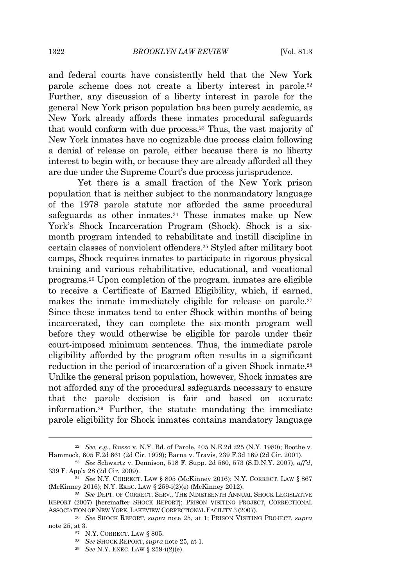and federal courts have consistently held that the New York parole scheme does not create a liberty interest in parole.<sup>22</sup> Further, any discussion of a liberty interest in parole for the general New York prison population has been purely academic, as New York already affords these inmates procedural safeguards that would conform with due process.<sup>23</sup> Thus, the vast majority of New York inmates have no cognizable due process claim following a denial of release on parole, either because there is no liberty interest to begin with, or because they are already afforded all they are due under the Supreme Court's due process jurisprudence.

Yet there is a small fraction of the New York prison population that is neither subject to the nonmandatory language of the 1978 parole statute nor afforded the same procedural safeguards as other inmates.<sup>24</sup> These inmates make up New York's Shock Incarceration Program (Shock). Shock is a sixmonth program intended to rehabilitate and instill discipline in certain classes of nonviolent offenders.<sup>25</sup> Styled after military boot camps, Shock requires inmates to participate in rigorous physical training and various rehabilitative, educational, and vocational programs.<sup>26</sup> Upon completion of the program, inmates are eligible to receive a Certificate of Earned Eligibility, which, if earned, makes the inmate immediately eligible for release on parole.<sup>27</sup> Since these inmates tend to enter Shock within months of being incarcerated, they can complete the six-month program well before they would otherwise be eligible for parole under their court-imposed minimum sentences. Thus, the immediate parole eligibility afforded by the program often results in a significant reduction in the period of incarceration of a given Shock inmate.<sup>28</sup> Unlike the general prison population, however, Shock inmates are not afforded any of the procedural safeguards necessary to ensure that the parole decision is fair and based on accurate information.<sup>29</sup> Further, the statute mandating the immediate parole eligibility for Shock inmates contains mandatory language

<sup>22</sup> *See, e.g.*, Russo v. N.Y. Bd. of Parole, 405 N.E.2d 225 (N.Y. 1980); Boothe v. Hammock, 605 F.2d 661 (2d Cir. 1979); Barna v. Travis, 239 F.3d 169 (2d Cir. 2001).

<sup>23</sup> *See* Schwartz v. Dennison, 518 F. Supp. 2d 560, 573 (S.D.N.Y. 2007), *aff'd*, 339 F. App'x 28 (2d Cir. 2009).

<sup>24</sup> *See* N.Y. CORRECT. LAW § 805 (McKinney 2016); N.Y. CORRECT. LAW § 867 (McKinney 2016); N.Y. EXEC. LAW § 259-i(2)(e) (McKinney 2012).

<sup>&</sup>lt;sup>25</sup> See DEPT. OF CORRECT. SERV., THE NINETEENTH ANNUAL SHOCK LEGISLATIVE REPORT (2007) [hereinafter SHOCK REPORT]; PRISON VISITING PROJECT, CORRECTIONAL ASSOCIATION OF NEW YORK, LAKEVIEW CORRECTIONAL FACILITY 3 (2007).

<sup>26</sup> *See* SHOCK REPORT, *supra* note 25, at 1; PRISON VISITING PROJECT, *supra* note 25, at 3.

<sup>27</sup> N.Y. CORRECT. LAW § 805.

<sup>28</sup> *See* SHOCK REPORT, *supra* note 25, at 1.

<sup>29</sup> *See* N.Y. EXEC. LAW § 259-i(2)(e).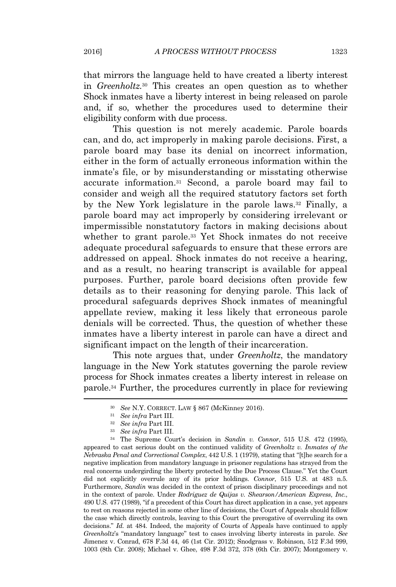that mirrors the language held to have created a liberty interest in *Greenholtz.*<sup>30</sup> This creates an open question as to whether Shock inmates have a liberty interest in being released on parole and, if so, whether the procedures used to determine their eligibility conform with due process.

This question is not merely academic. Parole boards can, and do, act improperly in making parole decisions. First, a parole board may base its denial on incorrect information, either in the form of actually erroneous information within the inmate's file, or by misunderstanding or misstating otherwise accurate information.<sup>31</sup> Second, a parole board may fail to consider and weigh all the required statutory factors set forth by the New York legislature in the parole laws.<sup>32</sup> Finally, a parole board may act improperly by considering irrelevant or impermissible nonstatutory factors in making decisions about whether to grant parole.<sup>33</sup> Yet Shock inmates do not receive adequate procedural safeguards to ensure that these errors are addressed on appeal. Shock inmates do not receive a hearing, and as a result, no hearing transcript is available for appeal purposes. Further, parole board decisions often provide few details as to their reasoning for denying parole. This lack of procedural safeguards deprives Shock inmates of meaningful appellate review, making it less likely that erroneous parole denials will be corrected. Thus, the question of whether these inmates have a liberty interest in parole can have a direct and significant impact on the length of their incarceration.

This note argues that, under *Greenholtz*, the mandatory language in the New York statutes governing the parole review process for Shock inmates creates a liberty interest in release on parole.<sup>34</sup> Further, the procedures currently in place for reviewing

<sup>34</sup> The Supreme Court's decision in *Sandin v. Connor*, 515 U.S. 472 (1995), appeared to cast serious doubt on the continued validity of *Greenholtz v. Inmates of the Nebraska Penal and Correctional Complex*, 442 U.S. 1 (1979), stating that "[t]he search for a negative implication from mandatory language in prisoner regulations has strayed from the real concerns undergirding the liberty protected by the Due Process Clause." Yet the Court did not explicitly overrule any of its prior holdings. *Connor*, 515 U.S. at 483 n.5. Furthermore, *Sandin* was decided in the context of prison disciplinary proceedings and not in the context of parole. Under *Rodriguez de Quijas v. Shearson/American Express*, *Inc.*, 490 U.S. 477 (1989), "if a precedent of this Court has direct application in a case, yet appears to rest on reasons rejected in some other line of decisions, the Court of Appeals should follow the case which directly controls, leaving to this Court the prerogative of overruling its own decisions." *Id.* at 484. Indeed, the majority of Courts of Appeals have continued to apply *Greenholtz*'s "mandatory language" test to cases involving liberty interests in parole. *See* Jimenez v. Conrad, 678 F.3d 44, 46 (1st Cir. 2012); Snodgrass v. Robinson, 512 F.3d 999, 1003 (8th Cir. 2008); Michael v. Ghee, 498 F.3d 372, 378 (6th Cir. 2007); Montgomery v.

<sup>30</sup> *See* N.Y. CORRECT. LAW § 867 (McKinney 2016).

<sup>31</sup> *See infra* Part III.

<sup>32</sup> *See infra* Part III.

<sup>33</sup> *See infra* Part III.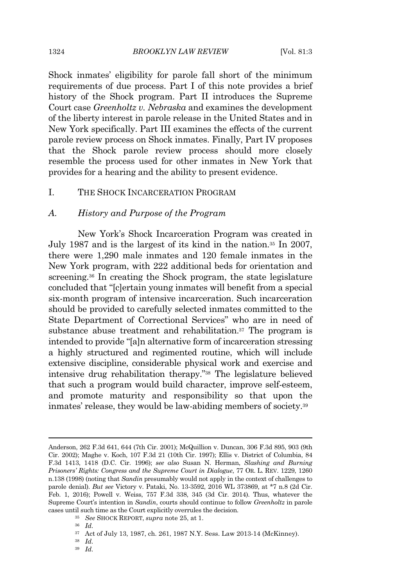#### 1324 *BROOKLYN LAW REVIEW* [Vol. 81:3

Shock inmates' eligibility for parole fall short of the minimum requirements of due process. Part I of this note provides a brief history of the Shock program. Part II introduces the Supreme Court case *Greenholtz v. Nebraska* and examines the development of the liberty interest in parole release in the United States and in New York specifically. Part III examines the effects of the current parole review process on Shock inmates. Finally, Part IV proposes that the Shock parole review process should more closely resemble the process used for other inmates in New York that provides for a hearing and the ability to present evidence.

#### I. THE SHOCK INCARCERATION PROGRAM

#### *A. History and Purpose of the Program*

New York's Shock Incarceration Program was created in July 1987 and is the largest of its kind in the nation.<sup>35</sup> In 2007, there were 1,290 male inmates and 120 female inmates in the New York program, with 222 additional beds for orientation and screening.<sup>36</sup> In creating the Shock program, the state legislature concluded that "[c]ertain young inmates will benefit from a special six-month program of intensive incarceration. Such incarceration should be provided to carefully selected inmates committed to the State Department of Correctional Services" who are in need of substance abuse treatment and rehabilitation.<sup>37</sup> The program is intended to provide "[a]n alternative form of incarceration stressing a highly structured and regimented routine, which will include extensive discipline, considerable physical work and exercise and intensive drug rehabilitation therapy." <sup>38</sup> The legislature believed that such a program would build character, improve self-esteem, and promote maturity and responsibility so that upon the inmates' release, they would be law-abiding members of society.<sup>39</sup>

- <sup>35</sup> *See* SHOCK REPORT, *supra* note 25, at 1.
- <sup>36</sup> *Id.*

<sup>38</sup> *Id.* <sup>39</sup> *Id.*

Anderson, 262 F.3d 641, 644 (7th Cir. 2001); McQuillion v. Duncan, 306 F.3d 895, 903 (9th Cir. 2002); Maghe v. Koch, 107 F.3d 21 (10th Cir. 1997); Ellis v. District of Columbia, 84 F.3d 1413, 1418 (D.C. Cir. 1996); *see also* Susan N. Herman, *Slashing and Burning Prisoners' Rights: Congress and the Supreme Court in Dialogue*, 77 OR. L. REV. 1229, 1260 n.138 (1998) (noting that *Sandin* presumably would not apply in the context of challenges to parole denial). *But see* Victory v. Pataki, No. 13-3592, 2016 WL 373869, at \*7 n.8 (2d Cir. Feb. 1, 2016); Powell v. Weiss, 757 F.3d 338, 345 (3d Cir. 2014). Thus, whatever the Supreme Court's intention in *Sandin*, courts should continue to follow *Greenholtz* in parole cases until such time as the Court explicitly overrules the decision.

<sup>37</sup> Act of July 13, 1987, ch. 261, 1987 N.Y. Sess. Law 2013-14 (McKinney).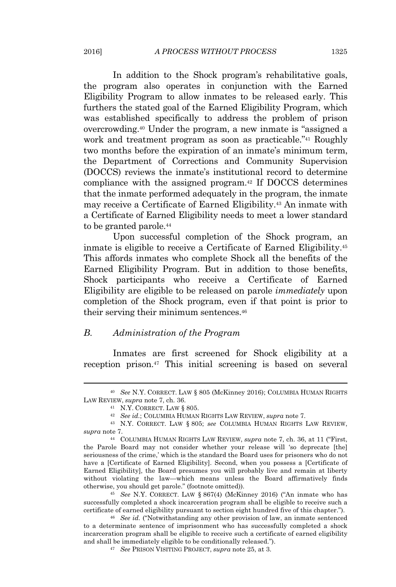In addition to the Shock program's rehabilitative goals, the program also operates in conjunction with the Earned Eligibility Program to allow inmates to be released early. This furthers the stated goal of the Earned Eligibility Program, which was established specifically to address the problem of prison overcrowding.<sup>40</sup> Under the program, a new inmate is "assigned a work and treatment program as soon as practicable." <sup>41</sup> Roughly two months before the expiration of an inmate's minimum term, the Department of Corrections and Community Supervision (DOCCS) reviews the inmate's institutional record to determine compliance with the assigned program.<sup>42</sup> If DOCCS determines that the inmate performed adequately in the program, the inmate may receive a Certificate of Earned Eligibility.<sup>43</sup> An inmate with a Certificate of Earned Eligibility needs to meet a lower standard to be granted parole.<sup>44</sup>

Upon successful completion of the Shock program, an inmate is eligible to receive a Certificate of Earned Eligibility.<sup>45</sup> This affords inmates who complete Shock all the benefits of the Earned Eligibility Program. But in addition to those benefits, Shock participants who receive a Certificate of Earned Eligibility are eligible to be released on parole *immediately* upon completion of the Shock program, even if that point is prior to their serving their minimum sentences.<sup>46</sup>

#### *B. Administration of the Program*

Inmates are first screened for Shock eligibility at a reception prison.<sup>47</sup> This initial screening is based on several

<sup>40</sup> *See* N.Y. CORRECT. LAW § 805 (McKinney 2016); COLUMBIA HUMAN RIGHTS LAW REVIEW, *supra* note 7, ch. 36.

<sup>41</sup> N.Y. CORRECT. LAW § 805.

<sup>42</sup> *See id.*; COLUMBIA HUMAN RIGHTS LAW REVIEW, *supra* note 7.

<sup>43</sup> N.Y. CORRECT. LAW § 805; *see* COLUMBIA HUMAN RIGHTS LAW REVIEW, *supra* note 7.

<sup>44</sup> COLUMBIA HUMAN RIGHTS LAW REVIEW, *supra* note 7, ch. 36, at 11 ("First, the Parole Board may not consider whether your release will 'so deprecate [the] seriousness of the crime,' which is the standard the Board uses for prisoners who do not have a [Certificate of Earned Eligibility]. Second, when you possess a [Certificate of Earned Eligibility], the Board presumes you will probably live and remain at liberty without violating the law—which means unless the Board affirmatively finds otherwise, you should get parole." (footnote omitted)).

<sup>45</sup> *See* N.Y. CORRECT. LAW § 867(4) (McKinney 2016) ("An inmate who has successfully completed a shock incarceration program shall be eligible to receive such a certificate of earned eligibility pursuant to section eight hundred five of this chapter.").

<sup>46</sup> *See id.* ("Notwithstanding any other provision of law, an inmate sentenced to a determinate sentence of imprisonment who has successfully completed a shock incarceration program shall be eligible to receive such a certificate of earned eligibility and shall be immediately eligible to be conditionally released.").

<sup>47</sup> *See* PRISON VISITING PROJECT, *supra* note 25, at 3.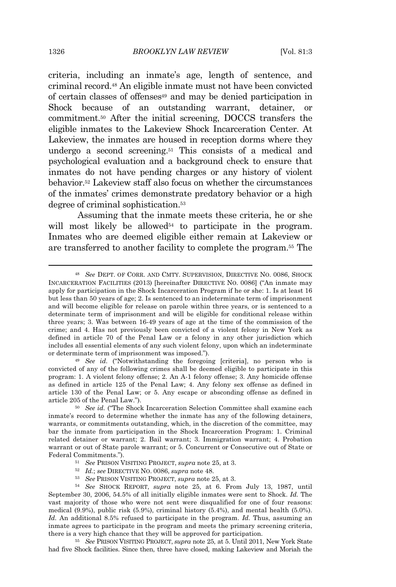criteria, including an inmate's age, length of sentence, and criminal record.<sup>48</sup> An eligible inmate must not have been convicted of certain classes of offenses<sup>49</sup> and may be denied participation in Shock because of an outstanding warrant, detainer, or commitment.<sup>50</sup> After the initial screening, DOCCS transfers the eligible inmates to the Lakeview Shock Incarceration Center. At Lakeview, the inmates are housed in reception dorms where they undergo a second screening.<sup>51</sup> This consists of a medical and psychological evaluation and a background check to ensure that inmates do not have pending charges or any history of violent behavior.<sup>52</sup> Lakeview staff also focus on whether the circumstances of the inmates' crimes demonstrate predatory behavior or a high degree of criminal sophistication.<sup>53</sup>

Assuming that the inmate meets these criteria, he or she will most likely be allowed<sup>54</sup> to participate in the program. Inmates who are deemed eligible either remain at Lakeview or are transferred to another facility to complete the program.<sup>55</sup> The

- <sup>51</sup> *See* PRISON VISITING PROJECT, *supra* note 25, at 3.
- <sup>52</sup> *Id.*; *see* DIRECTIVE NO. 0086, *supra* note 48.
- <sup>53</sup> *See* PRISON VISITING PROJECT, *supra* note 25, at 3.

<sup>48</sup> *See* DEPT. OF CORR. AND CMTY. SUPERVISION, DIRECTIVE NO. 0086, SHOCK INCARCERATION FACILITIES (2013) [hereinafter DIRECTIVE NO. 0086] ("An inmate may apply for participation in the Shock Incarceration Program if he or she: 1. Is at least 16 but less than 50 years of age; 2. Is sentenced to an indeterminate term of imprisonment and will become eligible for release on parole within three years, or is sentenced to a determinate term of imprisonment and will be eligible for conditional release within three years; 3. Was between 16-49 years of age at the time of the commission of the crime; and 4. Has not previously been convicted of a violent felony in New York as defined in article 70 of the Penal Law or a felony in any other jurisdiction which includes all essential elements of any such violent felony, upon which an indeterminate or determinate term of imprisonment was imposed.").

<sup>49</sup> *See id.* ("Notwithstanding the foregoing [criteria], no person who is convicted of any of the following crimes shall be deemed eligible to participate in this program: 1. A violent felony offense; 2. An A-1 felony offense; 3. Any homicide offense as defined in article 125 of the Penal Law; 4. Any felony sex offense as defined in article 130 of the Penal Law; or 5. Any escape or absconding offense as defined in article 205 of the Penal Law.").

<sup>50</sup> *See id.* ("The Shock Incarceration Selection Committee shall examine each inmate's record to determine whether the inmate has any of the following detainers, warrants, or commitments outstanding, which, in the discretion of the committee, may bar the inmate from participation in the Shock Incarceration Program: 1. Criminal related detainer or warrant; 2. Bail warrant; 3. Immigration warrant; 4. Probation warrant or out of State parole warrant; or 5. Concurrent or Consecutive out of State or Federal Commitments.").

<sup>54</sup> *See* SHOCK REPORT, *supra* note 25, at 6. From July 13, 1987, until September 30, 2006, 54.5% of all initially eligible inmates were sent to Shock. *Id.* The vast majority of those who were not sent were disqualified for one of four reasons: medical (9.9%), public risk (5.9%), criminal history (5.4%), and mental health (5.0%). *Id.* An additional 8.5% refused to participate in the program. *Id.* Thus, assuming an inmate agrees to participate in the program and meets the primary screening criteria, there is a very high chance that they will be approved for participation.

<sup>55</sup> *See* PRISON VISITING PROJECT, *supra* note 25, at 5. Until 2011, New York State had five Shock facilities. Since then, three have closed, making Lakeview and Moriah the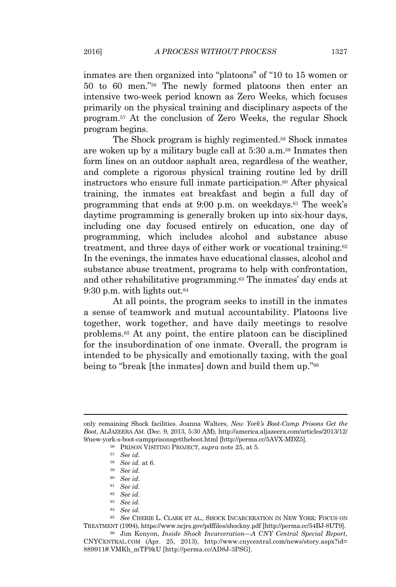inmates are then organized into "platoons" of "10 to 15 women or 50 to 60 men." <sup>56</sup> The newly formed platoons then enter an intensive two-week period known as Zero Weeks, which focuses primarily on the physical training and disciplinary aspects of the program.<sup>57</sup> At the conclusion of Zero Weeks, the regular Shock program begins.

The Shock program is highly regimented.<sup>58</sup> Shock inmates are woken up by a military bugle call at 5:30 a.m.<sup>59</sup> Inmates then form lines on an outdoor asphalt area, regardless of the weather, and complete a rigorous physical training routine led by drill instructors who ensure full inmate participation.<sup>60</sup> After physical training, the inmates eat breakfast and begin a full day of programming that ends at  $9:00$  p.m. on weekdays.<sup>61</sup> The week's daytime programming is generally broken up into six-hour days, including one day focused entirely on education, one day of programming, which includes alcohol and substance abuse treatment, and three days of either work or vocational training.<sup>62</sup> In the evenings, the inmates have educational classes, alcohol and substance abuse treatment, programs to help with confrontation, and other rehabilitative programming.<sup>63</sup> The inmates' day ends at 9:30 p.m. with lights out.<sup>64</sup>

At all points, the program seeks to instill in the inmates a sense of teamwork and mutual accountability. Platoons live together, work together, and have daily meetings to resolve problems.<sup>65</sup> At any point, the entire platoon can be disciplined for the insubordination of one inmate. Overall, the program is intended to be physically and emotionally taxing, with the goal being to "break [the inmates] down and build them up."<sup>66</sup>

- <sup>63</sup> *See id.*
- <sup>64</sup> *See id.*

only remaining Shock facilities. Joanna Walters, *New York's Boot-Camp Prisons Get the Boot*, ALJAZEERA AM. (Dec. 9, 2013, 5:30 AM), http://america.aljazeera.com/articles/2013/12/ 9/new-york-s-boot-campprisonsgettheboot.html [http://perma.cc/5AVX-MDZ5].

<sup>56</sup> PRISON VISITING PROJECT, *supra* note 25, at 5.

<sup>57</sup> *See id.*

<sup>58</sup> *See id.* at 6.

<sup>59</sup> *See id.*

<sup>60</sup> *See id.*

<sup>61</sup> *See id.*

<sup>62</sup> *See id.*

<sup>65</sup> *See* CHERIE L. CLARK ET AL., SHOCK INCARCERATION IN NEW YORK: FOCUS ON TREATMENT (1994), https://www.ncjrs.gov/pdffiles/shockny.pdf [http://perma.cc/54BJ-8UT9].

<sup>66</sup> Jim Kenyon, *Inside Shock Incarceration—A CNY Central Special Report*, CNYCENTRAL.COM (Apr. 25, 2013), http://www.cnycentral.com/news/story.aspx?id= 889911#.VMKh\_mTF9kU [http://perma.cc/AD8J-3PSG].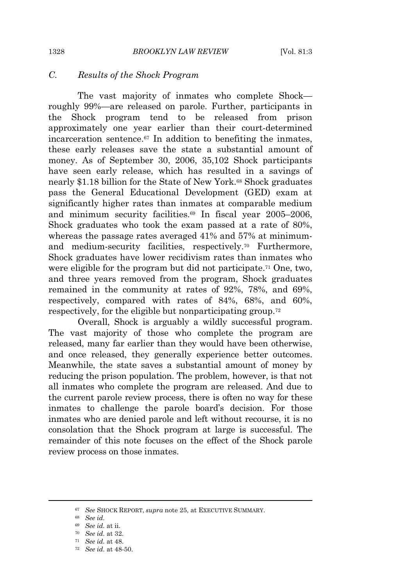#### *C. Results of the Shock Program*

The vast majority of inmates who complete Shock roughly 99%—are released on parole. Further, participants in the Shock program tend to be released from prison approximately one year earlier than their court-determined incarceration sentence.<sup>67</sup> In addition to benefiting the inmates, these early releases save the state a substantial amount of money. As of September 30, 2006, 35,102 Shock participants have seen early release, which has resulted in a savings of nearly \$1.18 billion for the State of New York.<sup>68</sup> Shock graduates pass the General Educational Development (GED) exam at significantly higher rates than inmates at comparable medium and minimum security facilities.<sup>69</sup> In fiscal year 2005–2006, Shock graduates who took the exam passed at a rate of 80%, whereas the passage rates averaged 41% and 57% at minimumand medium-security facilities, respectively.<sup>70</sup> Furthermore, Shock graduates have lower recidivism rates than inmates who were eligible for the program but did not participate.<sup>71</sup> One, two, and three years removed from the program, Shock graduates remained in the community at rates of 92%, 78%, and 69%, respectively, compared with rates of 84%, 68%, and 60%, respectively, for the eligible but nonparticipating group.<sup>72</sup>

Overall, Shock is arguably a wildly successful program. The vast majority of those who complete the program are released, many far earlier than they would have been otherwise, and once released, they generally experience better outcomes. Meanwhile, the state saves a substantial amount of money by reducing the prison population. The problem, however, is that not all inmates who complete the program are released. And due to the current parole review process, there is often no way for these inmates to challenge the parole board's decision. For those inmates who are denied parole and left without recourse, it is no consolation that the Shock program at large is successful. The remainder of this note focuses on the effect of the Shock parole review process on those inmates.

<sup>67</sup> *See* SHOCK REPORT, *supra* note 25, at EXECUTIVE SUMMARY.

<sup>68</sup> *See id.*

<sup>69</sup> *See id.* at ii.

<sup>70</sup> *See id.* at 32.

<sup>71</sup> *See id.* at 48.

<sup>72</sup> *See id.* at 48-50.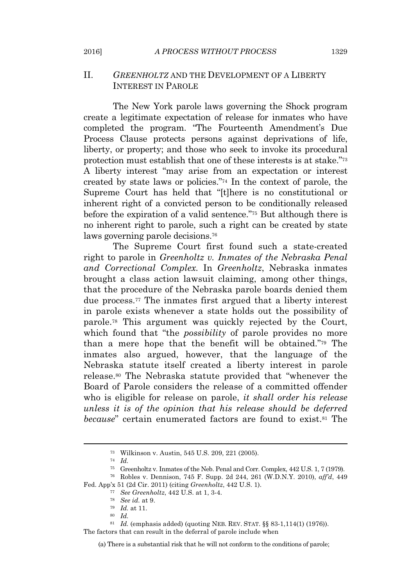## II. *GREENHOLTZ* AND THE DEVELOPMENT OF A LIBERTY INTEREST IN PAROLE

The New York parole laws governing the Shock program create a legitimate expectation of release for inmates who have completed the program. "The Fourteenth Amendment's Due Process Clause protects persons against deprivations of life, liberty, or property; and those who seek to invoke its procedural protection must establish that one of these interests is at stake."73 A liberty interest "may arise from an expectation or interest created by state laws or policies." <sup>74</sup> In the context of parole, the Supreme Court has held that "[t]here is no constitutional or inherent right of a convicted person to be conditionally released before the expiration of a valid sentence."<sup>75</sup> But although there is no inherent right to parole, such a right can be created by state laws governing parole decisions.<sup>76</sup>

The Supreme Court first found such a state-created right to parole in *Greenholtz v. Inmates of the Nebraska Penal and Correctional Complex.* In *Greenholtz*, Nebraska inmates brought a class action lawsuit claiming, among other things, that the procedure of the Nebraska parole boards denied them due process.<sup>77</sup> The inmates first argued that a liberty interest in parole exists whenever a state holds out the possibility of parole.<sup>78</sup> This argument was quickly rejected by the Court, which found that "the *possibility* of parole provides no more than a mere hope that the benefit will be obtained." <sup>79</sup> The inmates also argued, however, that the language of the Nebraska statute itself created a liberty interest in parole release.<sup>80</sup> The Nebraska statute provided that "whenever the Board of Parole considers the release of a committed offender who is eligible for release on parole, *it shall order his release unless it is of the opinion that his release should be deferred because*" certain enumerated factors are found to exist.<sup>81</sup> The

(a) There is a substantial risk that he will not conform to the conditions of parole;

<sup>73</sup> Wilkinson v. Austin, 545 U.S. 209, 221 (2005).

<sup>74</sup> *Id.*

<sup>75</sup> Greenholtz v. Inmates of the Neb. Penal and Corr. Complex, 442 U.S. 1, 7 (1979).

<sup>76</sup> Robles v. Dennison, 745 F. Supp. 2d 244, 261 (W.D.N.Y. 2010), *aff'd*, 449 Fed. App'x 51 (2d Cir. 2011) (citing *Greenholtz*, 442 U.S. 1).

<sup>77</sup> *See Greenholtz*, 442 U.S. at 1, 3-4.

<sup>78</sup> *See id.* at 9.

<sup>79</sup> *Id.* at 11.

<sup>80</sup> *Id.*

<sup>81</sup> *Id.* (emphasis added) (quoting NEB. REV. STAT. §§ 83-1,114(1) (1976)).

The factors that can result in the deferral of parole include when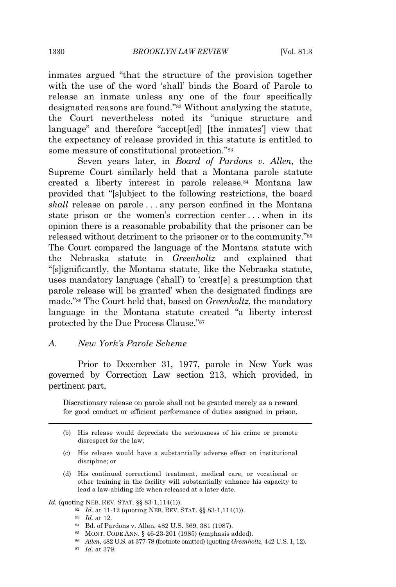inmates argued "that the structure of the provision together with the use of the word 'shall' binds the Board of Parole to release an inmate unless any one of the four specifically designated reasons are found." <sup>82</sup> Without analyzing the statute, the Court nevertheless noted its "unique structure and language" and therefore "accept[ed] [the inmates'] view that the expectancy of release provided in this statute is entitled to some measure of constitutional protection."<sup>83</sup>

Seven years later, in *Board of Pardons v. Allen*, the Supreme Court similarly held that a Montana parole statute created a liberty interest in parole release.<sup>84</sup> Montana law provided that "[s]ubject to the following restrictions, the board *shall* release on parole . . . any person confined in the Montana state prison or the women's correction center . . . when in its opinion there is a reasonable probability that the prisoner can be released without detriment to the prisoner or to the community."<sup>85</sup> The Court compared the language of the Montana statute with the Nebraska statute in *Greenholtz* and explained that "[s]ignificantly, the Montana statute, like the Nebraska statute, uses mandatory language ('shall') to 'creat[e] a presumption that parole release will be granted' when the designated findings are made." <sup>86</sup> The Court held that, based on *Greenholtz*, the mandatory language in the Montana statute created "a liberty interest protected by the Due Process Clause." 87

#### *A. New York's Parole Scheme*

Prior to December 31, 1977, parole in New York was governed by Correction Law section 213, which provided, in pertinent part,

Discretionary release on parole shall not be granted merely as a reward for good conduct or efficient performance of duties assigned in prison,

(d) His continued correctional treatment, medical care, or vocational or other training in the facility will substantially enhance his capacity to lead a law-abiding life when released at a later date.

*Id.* (quoting NEB. REV. STAT. §§ 83-1,114(1)).

- <sup>82</sup> *Id.* at 11-12 (quoting NEB. REV. STAT. §§ 83-1,114(1)).
- <sup>83</sup> *Id.* at 12.
- <sup>84</sup> Bd. of Pardons v. Allen, 482 U.S. 369, 381 (1987).
- <sup>85</sup> MONT. CODE ANN. § 46-23-201 (1985) (emphasis added).
- <sup>86</sup> *Allen*, 482 U.S. at 377-78 (footnote omitted) (quoting *Greenholtz*, 442 U.S. 1, 12).
- <sup>87</sup> *Id.* at 379.

<sup>(</sup>b) His release would depreciate the seriousness of his crime or promote disrespect for the law;

<sup>(</sup>c) His release would have a substantially adverse effect on institutional discipline; or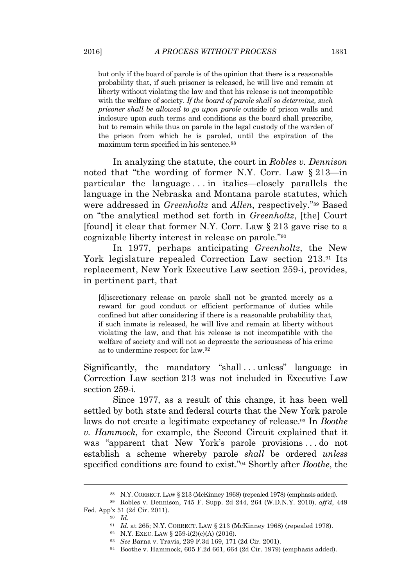but only if the board of parole is of the opinion that there is a reasonable probability that, if such prisoner is released, he will live and remain at liberty without violating the law and that his release is not incompatible with the welfare of society. *If the board of parole shall so determine, such prisoner shall be allowed to go upon parole* outside of prison walls and inclosure upon such terms and conditions as the board shall prescribe, but to remain while thus on parole in the legal custody of the warden of the prison from which he is paroled, until the expiration of the maximum term specified in his sentence.<sup>88</sup>

In analyzing the statute, the court in *Robles v. Dennison* noted that "the wording of former N.Y. Corr. Law § 213—in particular the language . . . in italics—closely parallels the language in the Nebraska and Montana parole statutes, which were addressed in *Greenholtz* and *Allen*, respectively." <sup>89</sup> Based on "the analytical method set forth in *Greenholtz*, [the] Court [found] it clear that former N.Y. Corr. Law § 213 gave rise to a cognizable liberty interest in release on parole." 90

In 1977, perhaps anticipating *Greenholtz*, the New York legislature repealed Correction Law section 213.<sup>91</sup> Its replacement, New York Executive Law section 259-i, provides, in pertinent part, that

[d]iscretionary release on parole shall not be granted merely as a reward for good conduct or efficient performance of duties while confined but after considering if there is a reasonable probability that, if such inmate is released, he will live and remain at liberty without violating the law, and that his release is not incompatible with the welfare of society and will not so deprecate the seriousness of his crime as to undermine respect for law.<sup>92</sup>

Significantly, the mandatory "shall...unless" language in Correction Law section 213 was not included in Executive Law section 259-i.

Since 1977, as a result of this change, it has been well settled by both state and federal courts that the New York parole laws do not create a legitimate expectancy of release.<sup>93</sup> In *Boothe v. Hammock*, for example, the Second Circuit explained that it was "apparent that New York's parole provisions . . . do not establish a scheme whereby parole *shall* be ordered *unless* specified conditions are found to exist." <sup>94</sup> Shortly after *Boothe*, the

<sup>88</sup> N.Y. CORRECT. LAW § 213 (McKinney 1968) (repealed 1978) (emphasis added).

<sup>89</sup> Robles v. Dennison, 745 F. Supp. 2d 244, 264 (W.D.N.Y. 2010), *aff'd*, 449 Fed. App'x 51 (2d Cir. 2011).

<sup>90</sup> *Id.*

<sup>91</sup> *Id.* at 265; N.Y. CORRECT. LAW § 213 (McKinney 1968) (repealed 1978).

<sup>92</sup> N.Y. EXEC. LAW § 259-i(2)(c)(A) (2016).

<sup>93</sup> *See* Barna v. Travis, 239 F.3d 169, 171 (2d Cir. 2001).

<sup>94</sup> Boothe v. Hammock, 605 F.2d 661, 664 (2d Cir. 1979) (emphasis added).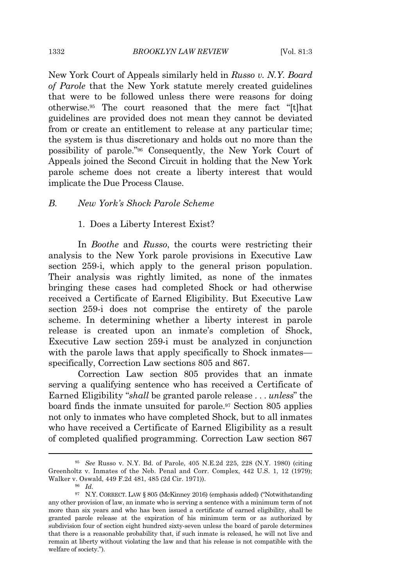New York Court of Appeals similarly held in *Russo v. N.Y. Board of Parole* that the New York statute merely created guidelines that were to be followed unless there were reasons for doing otherwise.<sup>95</sup> The court reasoned that the mere fact "[t]hat guidelines are provided does not mean they cannot be deviated from or create an entitlement to release at any particular time; the system is thus discretionary and holds out no more than the possibility of parole." <sup>96</sup> Consequently, the New York Court of Appeals joined the Second Circuit in holding that the New York parole scheme does not create a liberty interest that would implicate the Due Process Clause.

# *B. New York's Shock Parole Scheme*

1. Does a Liberty Interest Exist?

In *Boothe* and *Russo*, the courts were restricting their analysis to the New York parole provisions in Executive Law section 259-i, which apply to the general prison population. Their analysis was rightly limited, as none of the inmates bringing these cases had completed Shock or had otherwise received a Certificate of Earned Eligibility. But Executive Law section 259-i does not comprise the entirety of the parole scheme. In determining whether a liberty interest in parole release is created upon an inmate's completion of Shock, Executive Law section 259-i must be analyzed in conjunction with the parole laws that apply specifically to Shock inmates specifically, Correction Law sections 805 and 867.

Correction Law section 805 provides that an inmate serving a qualifying sentence who has received a Certificate of Earned Eligibility "*shall* be granted parole release . . . *unless*" the board finds the inmate unsuited for parole.<sup>97</sup> Section 805 applies not only to inmates who have completed Shock, but to all inmates who have received a Certificate of Earned Eligibility as a result of completed qualified programming. Correction Law section 867

<sup>95</sup> *See* Russo v. N.Y. Bd. of Parole, 405 N.E.2d 225, 228 (N.Y. 1980) (citing Greenholtz v. Inmates of the Neb. Penal and Corr. Complex, 442 U.S. 1, 12 (1979); Walker v. Oswald, 449 F.2d 481, 485 (2d Cir. 1971)).

<sup>96</sup> *Id.*

<sup>97</sup> N.Y. CORRECT. LAW § 805 (McKinney 2016) (emphasis added) ("Notwithstanding any other provision of law, an inmate who is serving a sentence with a minimum term of not more than six years and who has been issued a certificate of earned eligibility, shall be granted parole release at the expiration of his minimum term or as authorized by subdivision four of section eight hundred sixty-seven unles*s* the board of parole determines that there is a reasonable probability that, if such inmate is released, he will not live and remain at liberty without violating the law and that his release is not compatible with the welfare of society.").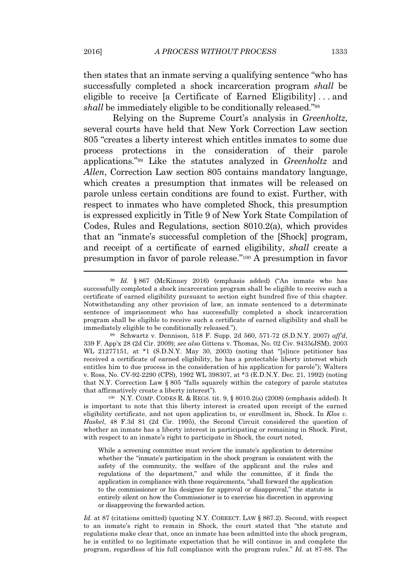then states that an inmate serving a qualifying sentence "who has successfully completed a shock incarceration program *shall* be eligible to receive [a Certificate of Earned Eligibility] . . . and shall be immediately eligible to be conditionally released."<sup>98</sup>

Relying on the Supreme Court's analysis in *Greenholtz*, several courts have held that New York Correction Law section 805 "creates a liberty interest which entitles inmates to some due process protections in the consideration of their parole applications." <sup>99</sup> Like the statutes analyzed in *Greenholtz* and *Allen*, Correction Law section 805 contains mandatory language, which creates a presumption that inmates will be released on parole unless certain conditions are found to exist. Further, with respect to inmates who have completed Shock, this presumption is expressed explicitly in Title 9 of New York State Compilation of Codes, Rules and Regulations, section 8010.2(a), which provides that an "inmate's successful completion of the [Shock] program, and receipt of a certificate of earned eligibility, *shall* create a presumption in favor of parole release." <sup>100</sup> A presumption in favor

While a screening committee must review the inmate's application to determine whether the "inmate's participation in the shock program is consistent with the safety of the community, the welfare of the applicant and the rules and regulations of the department," and while the committee, if it finds the application in compliance with these requirements, "shall forward the application to the commissioner or his designee for approval or disapproval," the statute is entirely silent on how the Commissioner is to exercise his discretion in approving or disapproving the forwarded action.

Id. at 87 (citations omitted) (quoting N.Y. CORRECT. LAW § 867.2). Second, with respect to an inmate's right to remain in Shock, the court stated that "the statute and regulations make clear that, once an inmate has been admitted into the shock program, he is entitled to no legitimate expectation that he will continue in and complete the program, regardless of his full compliance with the program rules." *Id.* at 87-88. The

<sup>98</sup> *Id.* § 867 (McKinney 2016) (emphasis added) ("An inmate who has successfully completed a shock incarceration program shall be eligible to receive such a certificate of earned eligibility pursuant to section eight hundred five of this chapter. Notwithstanding any other provision of law, an inmate sentenced to a determinate sentence of imprisonment who has successfully completed a shock incarceration program shall be eligible to receive such a certificate of earned eligibility and shall be immediately eligible to be conditionally released.").

<sup>99</sup> Schwartz v. Dennison, 518 F. Supp. 2d 560, 571-72 (S.D.N.Y. 2007) *aff'd*, 339 F. App'x 28 (2d Cir. 2009); *see also* Gittens v. Thomas, No. 02 Civ. 9435(JSM), 2003 WL 21277151, at \*1 (S.D.N.Y. May 30, 2003) (noting that "[s]ince petitioner has received a certificate of earned eligibility, he has a protectable liberty interest which entitles him to due process in the consideration of his application for parole"); Walters v. Ross, No. CV-92-2290 (CPS), 1992 WL 398307, at \*3 (E.D.N.Y. Dec. 21, 1992) (noting that N.Y. Correction Law § 805 "falls squarely within the category of parole statutes that affirmatively create a liberty interest").

<sup>100</sup> N.Y. COMP. CODES R. & REGS. tit. 9, § 8010.2(a) (2008) (emphasis added). It is important to note that this liberty interest is created upon receipt of the earned eligibility certificate, and not upon application to, or enrollment in, Shock. In *Klos v. Haskel*, 48 F.3d 81 (2d Cir. 1995), the Second Circuit considered the question of whether an inmate has a liberty interest in participating or remaining in Shock. First, with respect to an inmate's right to participate in Shock, the court noted,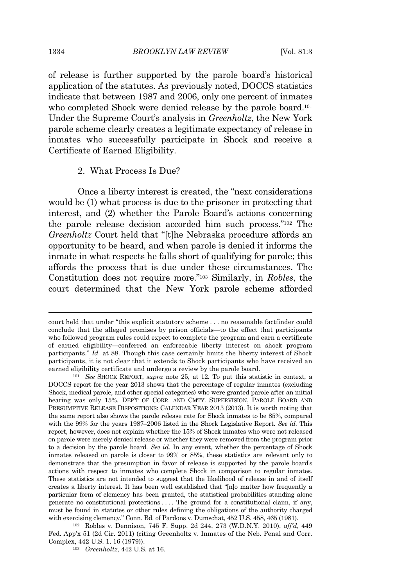of release is further supported by the parole board's historical application of the statutes. As previously noted, DOCCS statistics indicate that between 1987 and 2006, only one percent of inmates who completed Shock were denied release by the parole board.<sup>101</sup> Under the Supreme Court's analysis in *Greenholtz*, the New York parole scheme clearly creates a legitimate expectancy of release in inmates who successfully participate in Shock and receive a Certificate of Earned Eligibility.

#### 2. What Process Is Due?

Once a liberty interest is created, the "next considerations would be (1) what process is due to the prisoner in protecting that interest, and (2) whether the Parole Board's actions concerning the parole release decision accorded him such process." <sup>102</sup> The *Greenholtz* Court held that "[t]he Nebraska procedure affords an opportunity to be heard, and when parole is denied it informs the inmate in what respects he falls short of qualifying for parole; this affords the process that is due under these circumstances. The Constitution does not require more." <sup>103</sup> Similarly, in *Robles*, the court determined that the New York parole scheme afforded

court held that under "this explicit statutory scheme . . . no reasonable factfinder could conclude that the alleged promises by prison officials—to the effect that participants who followed program rules could expect to complete the program and earn a certificate of earned eligibility—conferred an enforceable liberty interest on shock program participants." *Id.* at 88. Though this case certainly limits the liberty interest of Shock participants, it is not clear that it extends to Shock participants who have received an earned eligibility certificate and undergo a review by the parole board.

<sup>101</sup> *See* SHOCK REPORT, *supra* note 25, at 12. To put this statistic in context, a DOCCS report for the year 2013 shows that the percentage of regular inmates (excluding Shock, medical parole, and other special categories) who were granted parole after an initial hearing was only 15%. DEP'T OF CORR. AND CMTY. SUPERVISION, PAROLE BOARD AND PRESUMPTIVE RELEASE DISPOSITIONS: CALENDAR YEAR 2013 (2013). It is worth noting that the same report also shows the parole release rate for Shock inmates to be 85%, compared with the 99% for the years 1987–2006 listed in the Shock Legislative Report. *See id.* This report, however, does not explain whether the 15% of Shock inmates who were not released on parole were merely denied release or whether they were removed from the program prior to a decision by the parole board. *See id.* In any event, whether the percentage of Shock inmates released on parole is closer to 99% or 85%, these statistics are relevant only to demonstrate that the presumption in favor of release is supported by the parole board's actions with respect to inmates who complete Shock in comparison to regular inmates. These statistics are not intended to suggest that the likelihood of release in and of itself creates a liberty interest. It has been well established that "[n]o matter how frequently a particular form of clemency has been granted, the statistical probabilities standing alone generate no constitutional protections . . . . The ground for a constitutional claim, if any, must be found in statutes or other rules defining the obligations of the authority charged with exercising clemency." Conn. Bd. of Pardons v. Dumschat, 452 U.S. 458, 465 (1981).

<sup>102</sup> Robles v. Dennison, 745 F. Supp. 2d 244, 273 (W.D.N.Y. 2010), *aff'd*, 449 Fed. App'x 51 (2d Cir. 2011) (citing Greenholtz v. Inmates of the Neb. Penal and Corr. Complex, 442 U.S. 1, 16 (1979)).

<sup>103</sup> *Greenholtz*, 442 U.S. at 16.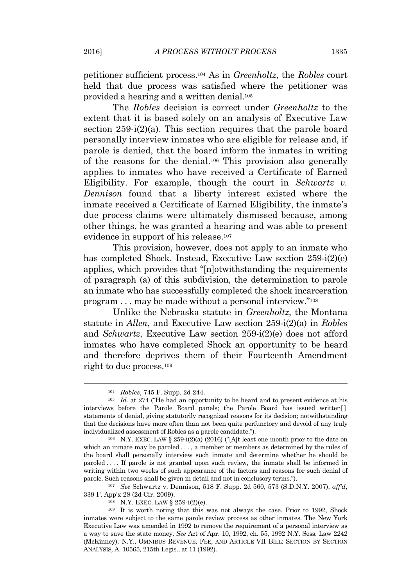petitioner sufficient process.<sup>104</sup> As in *Greenholtz*, the *Robles* court held that due process was satisfied where the petitioner was provided a hearing and a written denial.<sup>105</sup>

The *Robles* decision is correct under *Greenholtz* to the extent that it is based solely on an analysis of Executive Law section 259-i(2)(a). This section requires that the parole board personally interview inmates who are eligible for release and, if parole is denied, that the board inform the inmates in writing of the reasons for the denial.<sup>106</sup> This provision also generally applies to inmates who have received a Certificate of Earned Eligibility. For example, though the court in *Schwartz v. Dennison* found that a liberty interest existed where the inmate received a Certificate of Earned Eligibility, the inmate's due process claims were ultimately dismissed because, among other things, he was granted a hearing and was able to present evidence in support of his release.<sup>107</sup>

This provision, however, does not apply to an inmate who has completed Shock. Instead, Executive Law section 259-i(2)(e) applies, which provides that "[n]otwithstanding the requirements of paragraph (a) of this subdivision, the determination to parole an inmate who has successfully completed the shock incarceration program . . . may be made without a personal interview."<sup>108</sup>

Unlike the Nebraska statute in *Greenholtz*, the Montana statute in *Allen*, and Executive Law section 259-i(2)(a) in *Robles* and *Schwartz*, Executive Law section 259-i(2)(e) does not afford inmates who have completed Shock an opportunity to be heard and therefore deprives them of their Fourteenth Amendment right to due process.<sup>109</sup>

<sup>108</sup> N.Y. EXEC. LAW § 259-i(2)(e).

<sup>104</sup> *Robles*, 745 F. Supp. 2d 244.

<sup>&</sup>lt;sup>105</sup> *Id.* at 274 ("He had an opportunity to be heard and to present evidence at his interviews before the Parole Board panels; the Parole Board has issued written[ ] statements of denial, giving statutorily recognized reasons for its decision; notwithstanding that the decisions have more often than not been quite perfunctory and devoid of any truly individualized assessment of Robles as a parole candidate.").

 $106$  N.Y. EXEC. LAW § 259-i(2)(a) (2016) ("[A]t least one month prior to the date on which an inmate may be paroled . . . , a member or members as determined by the rules of the board shall personally interview such inmate and determine whether he should be paroled . . . . If parole is not granted upon such review, the inmate shall be informed in writing within two weeks of such appearance of the factors and reasons for such denial of parole. Such reasons shall be given in detail and not in conclusory terms.").

<sup>107</sup> *See* Schwartz v. Dennison, 518 F. Supp. 2d 560, 573 (S.D.N.Y. 2007), *aff'd*, 339 F. App'x 28 (2d Cir. 2009).

<sup>109</sup> It is worth noting that this was not always the case. Prior to 1992, Shock inmates were subject to the same parole review process as other inmates. The New York Executive Law was amended in 1992 to remove the requirement of a personal interview as a way to save the state money. *See* Act of Apr. 10, 1992, ch. 55, 1992 N.Y. Sess. Law 2242 (McKinney); N.Y., OMNIBUS REVENUE, FEE, AND ARTICLE VII BILL: SECTION BY SECTION ANALYSIS, A. 10565, 215th Legis., at 11 (1992).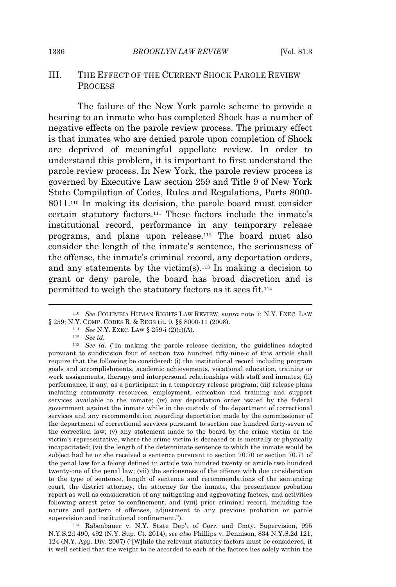#### III. THE EFFECT OF THE CURRENT SHOCK PAROLE REVIEW **PROCESS**

The failure of the New York parole scheme to provide a hearing to an inmate who has completed Shock has a number of negative effects on the parole review process. The primary effect is that inmates who are denied parole upon completion of Shock are deprived of meaningful appellate review. In order to understand this problem, it is important to first understand the parole review process. In New York, the parole review process is governed by Executive Law section 259 and Title 9 of New York State Compilation of Codes, Rules and Regulations, Parts 8000- 8011.<sup>110</sup> In making its decision, the parole board must consider certain statutory factors.<sup>111</sup> These factors include the inmate's institutional record, performance in any temporary release programs, and plans upon release.<sup>112</sup> The board must also consider the length of the inmate's sentence, the seriousness of the offense, the inmate's criminal record, any deportation orders, and any statements by the victim(s).<sup>113</sup> In making a decision to grant or deny parole, the board has broad discretion and is permitted to weigh the statutory factors as it sees fit.<sup>114</sup>

<sup>112</sup> *See id.*

<sup>114</sup> Rabenbauer v. N.Y. State Dep't of Corr. and Cmty. Supervision, 995 N.Y.S.2d 490, 492 (N.Y. Sup. Ct. 2014); *see also* Phillips v. Dennison, 834 N.Y.S.2d 121, 124 (N.Y. App. Div. 2007) ("[W]hile the relevant statutory factors must be considered, it is well settled that the weight to be accorded to each of the factors lies solely within the

<sup>110</sup> *See* COLUMBIA HUMAN RIGHTS LAW REVIEW, *supra* note 7; N.Y. EXEC. LAW § 259; N.Y. COMP. CODES R. & REGS tit. 9, §§ 8000-11 (2008).

<sup>111</sup> *See* N.Y. EXEC. LAW § 259-i (2)(c)(A).

<sup>113</sup> *See id.* ("In making the parole release decision, the guidelines adopted pursuant to subdivision four of section two hundred fifty-nine-c of this article shall require that the following be considered: (i) the institutional record including program goals and accomplishments, academic achievements, vocational education, training or work assignments, therapy and interpersonal relationships with staff and inmates; (ii) performance, if any, as a participant in a temporary release program; (iii) release plans including community resources, employment, education and training and support services available to the inmate; (iv) any deportation order issued by the federal government against the inmate while in the custody of the department of correctional services and any recommendation regarding deportation made by the commissioner of the department of correctional services pursuant to section one hundred forty-seven of the correction law; (v) any statement made to the board by the crime victim or the victim's representative, where the crime victim is deceased or is mentally or physically incapacitated; (vi) the length of the determinate sentence to which the inmate would be subject had he or she received a sentence pursuant to section 70.70 or section 70.71 of the penal law for a felony defined in article two hundred twenty or article two hundred twenty-one of the penal law; (vii) the seriousness of the offense with due consideration to the type of sentence, length of sentence and recommendations of the sentencing court, the district attorney, the attorney for the inmate, the presentence probation report as well as consideration of any mitigating and aggravating factors, and activities following arrest prior to confinement; and (viii) prior criminal record, including the nature and pattern of offenses, adjustment to any previous probation or parole supervision and institutional confinement.").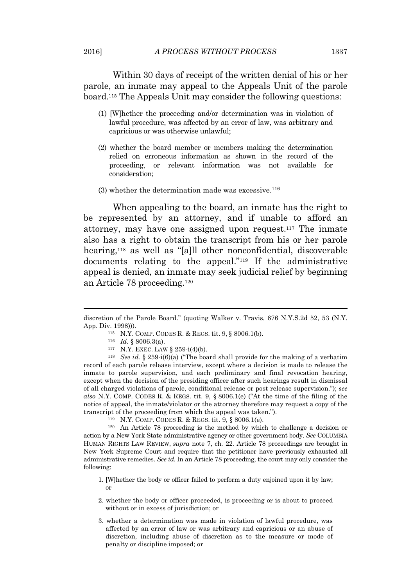Within 30 days of receipt of the written denial of his or her parole, an inmate may appeal to the Appeals Unit of the parole board.<sup>115</sup> The Appeals Unit may consider the following questions:

- (1) [W]hether the proceeding and/or determination was in violation of lawful procedure, was affected by an error of law, was arbitrary and capricious or was otherwise unlawful;
- (2) whether the board member or members making the determination relied on erroneous information as shown in the record of the proceeding, or relevant information was not available for consideration;
- (3) whether the determination made was excessive. $116$

When appealing to the board, an inmate has the right to be represented by an attorney, and if unable to afford an attorney, may have one assigned upon request.<sup>117</sup> The inmate also has a right to obtain the transcript from his or her parole hearing,<sup>118</sup> as well as "[a]ll other nonconfidential, discoverable documents relating to the appeal." <sup>119</sup> If the administrative appeal is denied, an inmate may seek judicial relief by beginning an Article 78 proceeding.<sup>120</sup>

<sup>115</sup> N.Y. COMP. CODES R. & REGS. tit. 9, § 8006.1(b).

<sup>117</sup> N.Y. EXEC. LAW § 259-i(4)(b).

<sup>118</sup> *See id.* § 259-i(6)(a) ("The board shall provide for the making of a verbatim record of each parole release interview, except where a decision is made to release the inmate to parole supervision, and each preliminary and final revocation hearing, except when the decision of the presiding officer after such hearings result in dismissal of all charged violations of parole, conditional release or post release supervision."); *see also* N.Y. COMP. CODES R. & REGS. tit. 9, § 8006.1(e) ("At the time of the filing of the notice of appeal, the inmate/violator or the attorney therefore may request a copy of the transcript of the proceeding from which the appeal was taken.").

<sup>119</sup> N.Y. COMP. CODES R. & REGS. tit. 9, § 8006.1(e).

<sup>120</sup> An Article 78 proceeding is the method by which to challenge a decision or action by a New York State administrative agency or other government body. *See* COLUMBIA HUMAN RIGHTS LAW REVIEW, *supra* note 7, ch. 22. Article 78 proceedings are brought in New York Supreme Court and require that the petitioner have previously exhausted all administrative remedies. *See id.* In an Article 78 proceeding, the court may only consider the following:

- 1. [W]hether the body or officer failed to perform a duty enjoined upon it by law; or
- 2. whether the body or officer proceeded, is proceeding or is about to proceed without or in excess of jurisdiction; or
- 3. whether a determination was made in violation of lawful procedure, was affected by an error of law or was arbitrary and capricious or an abuse of discretion, including abuse of discretion as to the measure or mode of penalty or discipline imposed; or

discretion of the Parole Board." (quoting Walker v. Travis, 676 N.Y.S.2d 52, 53 (N.Y. App. Div. 1998))).

<sup>116</sup> *Id.* § 8006.3(a).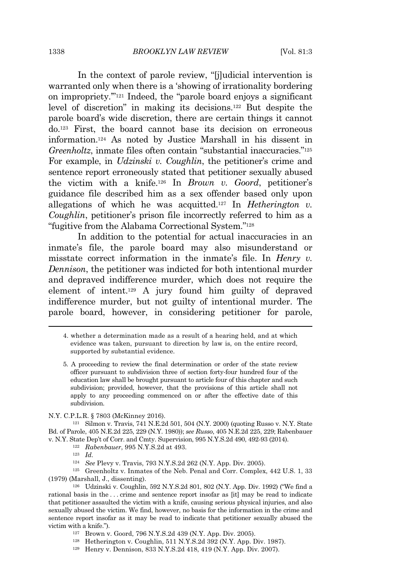In the context of parole review, "[j]udicial intervention is warranted only when there is a 'showing of irrationality bordering on impropriety.'" <sup>121</sup> Indeed, the "parole board enjoys a significant level of discretion" in making its decisions.<sup>122</sup> But despite the parole board's wide discretion, there are certain things it cannot do.<sup>123</sup> First, the board cannot base its decision on erroneous information.<sup>124</sup> As noted by Justice Marshall in his dissent in Greenholtz, inmate files often contain "substantial inaccuracies."<sup>125</sup> For example, in *Udzinski v. Coughlin*, the petitioner's crime and sentence report erroneously stated that petitioner sexually abused the victim with a knife.<sup>126</sup> In *Brown v. Goord*, petitioner's guidance file described him as a sex offender based only upon allegations of which he was acquitted.<sup>127</sup> In *Hetherington v. Coughlin*, petitioner's prison file incorrectly referred to him as a "fugitive from the Alabama Correctional System."<sup>128</sup>

In addition to the potential for actual inaccuracies in an inmate's file, the parole board may also misunderstand or misstate correct information in the inmate's file. In *Henry v. Dennison*, the petitioner was indicted for both intentional murder and depraved indifference murder, which does not require the element of intent.<sup>129</sup> A jury found him guilty of depraved indifference murder, but not guilty of intentional murder. The parole board, however, in considering petitioner for parole,

N.Y. C.P.L.R. § 7803 (McKinney 2016).

<sup>121</sup> Silmon v. Travis, 741 N.E.2d 501, 504 (N.Y. 2000) (quoting Russo v. N.Y. State Bd. of Parole, 405 N.E.2d 225, 229 (N.Y. 1980)); *see Russo*, 405 N.E.2d 225, 229; Rabenbauer v. N.Y. State Dep't of Corr. and Cmty. Supervision, 995 N.Y.S.2d 490, 492-93 (2014).

<sup>122</sup> *Rabenbauer*, 995 N.Y.S.2d at 493.

<sup>123</sup> *Id.*

<sup>124</sup> *See* Plevy v. Travis, 793 N.Y.S.2d 262 (N.Y. App. Div. 2005).

<sup>125</sup> Greenholtz v. Inmates of the Neb. Penal and Corr. Complex, 442 U.S. 1, 33 (1979) (Marshall, J., dissenting).

<sup>126</sup> Udzinski v. Coughlin, 592 N.Y.S.2d 801, 802 (N.Y. App. Div. 1992) ("We find a rational basis in the . . . crime and sentence report insofar as [it] may be read to indicate that petitioner assaulted the victim with a knife, causing serious physical injuries, and also sexually abused the victim. We find, however, no basis for the information in the crime and sentence report insofar as it may be read to indicate that petitioner sexually abused the victim with a knife.").

- <sup>127</sup> Brown v. Goord, 796 N.Y.S.2d 439 (N.Y. App. Div. 2005).
- <sup>128</sup> Hetherington v. Coughlin, 511 N.Y.S.2d 392 (N.Y. App. Div. 1987).
- <sup>129</sup> Henry v. Dennison, 833 N.Y.S.2d 418, 419 (N.Y. App. Div. 2007).

<sup>4.</sup> whether a determination made as a result of a hearing held, and at which evidence was taken, pursuant to direction by law is, on the entire record, supported by substantial evidence.

<sup>5.</sup> A proceeding to review the final determination or order of the state review officer pursuant to subdivision three of section forty-four hundred four of the education law shall be brought pursuant to article four of this chapter and such subdivision; provided, however, that the provisions of this article shall not apply to any proceeding commenced on or after the effective date of this subdivision.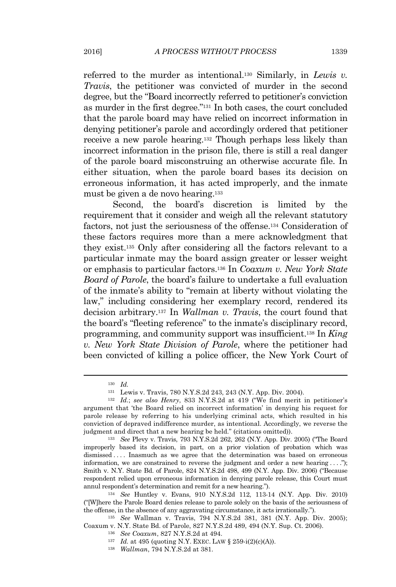referred to the murder as intentional.<sup>130</sup> Similarly, in *Lewis v. Travis*, the petitioner was convicted of murder in the second degree, but the "Board incorrectly referred to petitioner's conviction as murder in the first degree." <sup>131</sup> In both cases, the court concluded that the parole board may have relied on incorrect information in denying petitioner's parole and accordingly ordered that petitioner receive a new parole hearing.<sup>132</sup> Though perhaps less likely than incorrect information in the prison file, there is still a real danger

of the parole board misconstruing an otherwise accurate file. In either situation, when the parole board bases its decision on erroneous information, it has acted improperly, and the inmate must be given a de novo hearing.<sup>133</sup>

Second, the board's discretion is limited by the requirement that it consider and weigh all the relevant statutory factors, not just the seriousness of the offense.<sup>134</sup> Consideration of these factors requires more than a mere acknowledgment that they exist.<sup>135</sup> Only after considering all the factors relevant to a particular inmate may the board assign greater or lesser weight or emphasis to particular factors.<sup>136</sup> In *Coaxum v. New York State Board of Parole*, the board's failure to undertake a full evaluation of the inmate's ability to "remain at liberty without violating the law," including considering her exemplary record, rendered its decision arbitrary.<sup>137</sup> In *Wallman v. Travis*, the court found that the board's "fleeting reference" to the inmate's disciplinary record, programming, and community support was insufficient.<sup>138</sup> In *King v. New York State Division of Parole*, where the petitioner had been convicted of killing a police officer, the New York Court of

<sup>130</sup> *Id.*

<sup>131</sup> Lewis v. Travis, 780 N.Y.S.2d 243, 243 (N.Y. App. Div. 2004).

<sup>132</sup> *Id.*; *see also Henry*, 833 N.Y.S.2d at 419 ("We find merit in petitioner's argument that 'the Board relied on incorrect information' in denying his request for parole release by referring to his underlying criminal acts, which resulted in his conviction of depraved indifference murder, as intentional. Accordingly, we reverse the judgment and direct that a new hearing be held." (citations omitted)).

<sup>133</sup> *See* Plevy v. Travis, 793 N.Y.S.2d 262, 262 (N.Y. App. Div. 2005) ("The Board improperly based its decision, in part, on a prior violation of probation which was dismissed .... Inasmuch as we agree that the determination was based on erroneous information, we are constrained to reverse the judgment and order a new hearing  $\dots$ "); Smith v. N.Y. State Bd. of Parole, 824 N.Y.S.2d 498, 499 (N.Y. App. Div. 2006) ("Because respondent relied upon erroneous information in denying parole release, this Court must annul respondent's determination and remit for a new hearing.").

<sup>134</sup> *See* Huntley v. Evans, 910 N.Y.S.2d 112, 113-14 (N.Y. App. Div. 2010) ("[W]here the Parole Board denies release to parole solely on the basis of the seriousness of the offense, in the absence of any aggravating circumstance, it acts irrationally.").

<sup>135</sup> *See* Wallman v. Travis, 794 N.Y.S.2d 381, 381 (N.Y. App. Div. 2005); Coaxum v. N.Y. State Bd. of Parole, 827 N.Y.S.2d 489, 494 (N.Y. Sup. Ct. 2006).

<sup>136</sup> *See Coaxum*, 827 N.Y.S.2d at 494.

<sup>137</sup> *Id.* at 495 (quoting N.Y. EXEC. LAW § 259-i(2)(c)(A)).

<sup>138</sup> *Wallman*, 794 N.Y.S.2d at 381.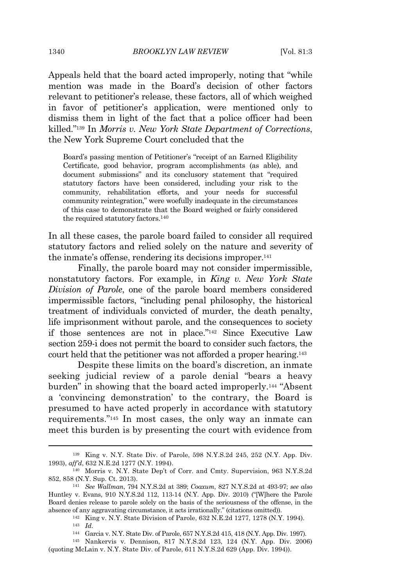Appeals held that the board acted improperly, noting that "while mention was made in the Board's decision of other factors relevant to petitioner's release, these factors, all of which weighed in favor of petitioner's application, were mentioned only to dismiss them in light of the fact that a police officer had been killed." <sup>139</sup> In *Morris v. New York State Department of Corrections*, the New York Supreme Court concluded that the

Board's passing mention of Petitioner's "receipt of an Earned Eligibility Certificate, good behavior, program accomplishments (as able), and document submissions" and its conclusory statement that "required statutory factors have been considered, including your risk to the community, rehabilitation efforts, and your needs for successful community reintegration," were woefully inadequate in the circumstances of this case to demonstrate that the Board weighed or fairly considered the required statutory factors.  $^{140}\,$ 

In all these cases, the parole board failed to consider all required statutory factors and relied solely on the nature and severity of the inmate's offense, rendering its decisions improper.<sup>141</sup>

Finally, the parole board may not consider impermissible, nonstatutory factors. For example, in *King v. New York State Division of Parole*, one of the parole board members considered impermissible factors, "including penal philosophy, the historical treatment of individuals convicted of murder, the death penalty, life imprisonment without parole, and the consequences to society if those sentences are not in place." <sup>142</sup> Since Executive Law section 259-i does not permit the board to consider such factors, the court held that the petitioner was not afforded a proper hearing.<sup>143</sup>

Despite these limits on the board's discretion, an inmate seeking judicial review of a parole denial "bears a heavy burden" in showing that the board acted improperly.<sup>144</sup> "Absent a 'convincing demonstration' to the contrary, the Board is presumed to have acted properly in accordance with statutory requirements." <sup>145</sup> In most cases, the only way an inmate can meet this burden is by presenting the court with evidence from

<sup>139</sup> King v. N.Y. State Div. of Parole, 598 N.Y.S.2d 245, 252 (N.Y. App. Div. 1993), *aff'd*, 632 N.E.2d 1277 (N.Y. 1994).

<sup>140</sup> Morris v. N.Y. State Dep't of Corr. and Cmty. Supervision, 963 N.Y.S.2d 852, 858 (N.Y. Sup. Ct. 2013).

<sup>141</sup> *See Wallman*, 794 N.Y.S.2d at 389; *Coaxum*, 827 N.Y.S.2d at 493-97; *see also* Huntley v. Evans, 910 N.Y.S.2d 112, 113-14 (N.Y. App. Div. 2010) ("[W]here the Parole Board denies release to parole solely on the basis of the seriousness of the offense, in the absence of any aggravating circumstance, it acts irrationally." (citations omitted)).

<sup>142</sup> King v. N.Y. State Division of Parole, 632 N.E.2d 1277, 1278 (N.Y. 1994). <sup>143</sup> *Id.*

<sup>144</sup> Garcia v. N.Y. State Div. of Parole, 657 N.Y.S.2d 415, 418 (N.Y. App. Div. 1997).

<sup>145</sup> Nankervis v. Dennison, 817 N.Y.S.2d 123, 124 (N.Y. App. Div. 2006) (quoting McLain v. N.Y. State Div. of Parole, 611 N.Y.S.2d 629 (App. Div. 1994)).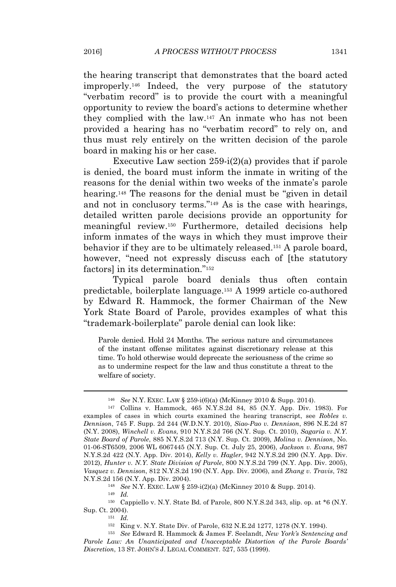the hearing transcript that demonstrates that the board acted improperly.<sup>146</sup> Indeed, the very purpose of the statutory "verbatim record" is to provide the court with a meaningful opportunity to review the board's actions to determine whether they complied with the law.<sup>147</sup> An inmate who has not been provided a hearing has no "verbatim record" to rely on, and thus must rely entirely on the written decision of the parole board in making his or her case.

Executive Law section  $259-i(2)(a)$  provides that if parole is denied, the board must inform the inmate in writing of the reasons for the denial within two weeks of the inmate's parole hearing.<sup>148</sup> The reasons for the denial must be "given in detail" and not in conclusory terms." <sup>149</sup> As is the case with hearings, detailed written parole decisions provide an opportunity for meaningful review.<sup>150</sup> Furthermore, detailed decisions help inform inmates of the ways in which they must improve their behavior if they are to be ultimately released.<sup>151</sup> A parole board, however, "need not expressly discuss each of [the statutory factors] in its determination."<sup>152</sup>

Typical parole board denials thus often contain predictable, boilerplate language.<sup>153</sup> A 1999 article co-authored by Edward R. Hammock, the former Chairman of the New York State Board of Parole, provides examples of what this "trademark-boilerplate" parole denial can look like:

Parole denied. Hold 24 Months. The serious nature and circumstances of the instant offense militates against discretionary release at this time. To hold otherwise would deprecate the seriousness of the crime so as to undermine respect for the law and thus constitute a threat to the welfare of society.

<sup>148</sup> *See* N.Y. EXEC. LAW § 259-i(2)(a) (McKinney 2010 & Supp. 2014).

<sup>149</sup> *Id.*

<sup>150</sup> Cappiello v. N.Y. State Bd. of Parole, 800 N.Y.S.2d 343, slip. op. at \*6 (N.Y. Sup. Ct. 2004).

<sup>151</sup> *Id.*

<sup>152</sup> King v. N.Y. State Div. of Parole, 632 N.E.2d 1277, 1278 (N.Y. 1994).

<sup>153</sup> *See* Edward R. Hammock & James F. Seelandt, *New York's Sentencing and Parole Law: An Unanticipated and Unacceptable Distortion of the Parole Boards' Discretion*, 13 ST. JOHN'<sup>S</sup> J. LEGAL COMMENT. 527, 535 (1999).

<sup>146</sup> *See* N.Y. EXEC. LAW § 259-i(6)(a) (McKinney 2010 & Supp. 2014).

<sup>147</sup> Collins v. Hammock, 465 N.Y.S.2d 84, 85 (N.Y. App. Div. 1983). For examples of cases in which courts examined the hearing transcript, see *Robles v. Dennison*, 745 F. Supp. 2d 244 (W.D.N.Y. 2010), *Siao-Pao v. Dennison*, 896 N.E.2d 87 (N.Y. 2008), *Winchell v. Evans*, 910 N.Y.S.2d 766 (N.Y. Sup. Ct. 2010), *Sagaria v. N.Y. State Board of Parole*, 885 N.Y.S.2d 713 (N.Y. Sup. Ct. 2009), *Molina v. Dennison*, No. 01-06-ST6509, 2006 WL 6067445 (N.Y. Sup. Ct. July 25, 2006), *Jackson v. Evans*, 987 N.Y.S.2d 422 (N.Y. App. Div. 2014), *Kelly v. Hagler*, 942 N.Y.S.2d 290 (N.Y. App. Div. 2012), *Hunter v. N.Y. State Division of Parole*, 800 N.Y.S.2d 799 (N.Y. App. Div. 2005), *Vasquez v. Dennison*, 812 N.Y.S.2d 190 (N.Y. App. Div. 2006), and *Zhang v. Travis*, 782 N.Y.S.2d 156 (N.Y. App. Div. 2004).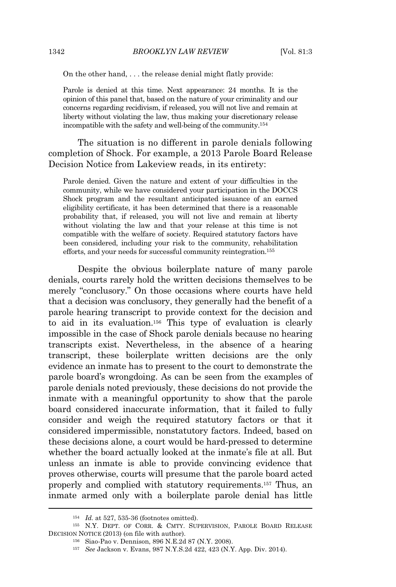On the other hand, . . . the release denial might flatly provide:

Parole is denied at this time. Next appearance: 24 months. It is the opinion of this panel that, based on the nature of your criminality and our concerns regarding recidivism, if released, you will not live and remain at liberty without violating the law, thus making your discretionary release incompatible with the safety and well-being of the community.<sup>154</sup>

The situation is no different in parole denials following completion of Shock. For example, a 2013 Parole Board Release Decision Notice from Lakeview reads, in its entirety:

Parole denied. Given the nature and extent of your difficulties in the community, while we have considered your participation in the DOCCS Shock program and the resultant anticipated issuance of an earned eligibility certificate, it has been determined that there is a reasonable probability that, if released, you will not live and remain at liberty without violating the law and that your release at this time is not compatible with the welfare of society. Required statutory factors have been considered, including your risk to the community, rehabilitation efforts, and your needs for successful community reintegration.<sup>155</sup>

Despite the obvious boilerplate nature of many parole denials, courts rarely hold the written decisions themselves to be merely "conclusory." On those occasions where courts have held that a decision was conclusory, they generally had the benefit of a parole hearing transcript to provide context for the decision and to aid in its evaluation.<sup>156</sup> This type of evaluation is clearly impossible in the case of Shock parole denials because no hearing transcripts exist. Nevertheless, in the absence of a hearing transcript, these boilerplate written decisions are the only evidence an inmate has to present to the court to demonstrate the parole board's wrongdoing. As can be seen from the examples of parole denials noted previously, these decisions do not provide the inmate with a meaningful opportunity to show that the parole board considered inaccurate information, that it failed to fully consider and weigh the required statutory factors or that it considered impermissible, nonstatutory factors. Indeed, based on these decisions alone, a court would be hard-pressed to determine whether the board actually looked at the inmate's file at all. But unless an inmate is able to provide convincing evidence that proves otherwise, courts will presume that the parole board acted properly and complied with statutory requirements.<sup>157</sup> Thus, an inmate armed only with a boilerplate parole denial has little

<sup>154</sup> *Id.* at 527, 535-36 (footnotes omitted).

<sup>155</sup> N.Y. DEPT. OF CORR. & CMTY. SUPERVISION, PAROLE BOARD RELEASE DECISION NOTICE (2013) (on file with author).

<sup>156</sup> Siao-Pao v. Dennison, 896 N.E.2d 87 (N.Y. 2008).

<sup>157</sup> *See* Jackson v. Evans, 987 N.Y.S.2d 422, 423 (N.Y. App. Div. 2014).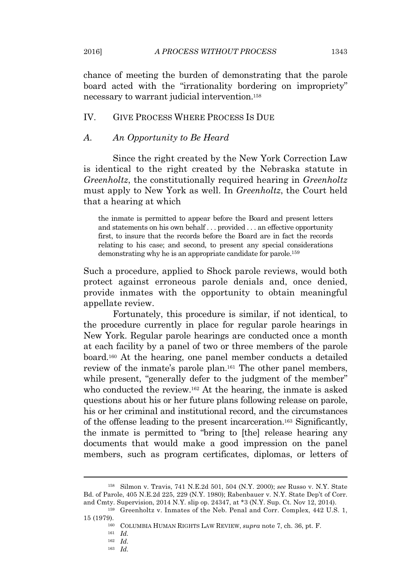chance of meeting the burden of demonstrating that the parole board acted with the "irrationality bordering on impropriety" necessary to warrant judicial intervention.<sup>158</sup>

## IV. GIVE PROCESS WHERE PROCESS IS DUE

## *A. An Opportunity to Be Heard*

Since the right created by the New York Correction Law is identical to the right created by the Nebraska statute in *Greenholtz*, the constitutionally required hearing in *Greenholtz* must apply to New York as well. In *Greenholtz*, the Court held that a hearing at which

the inmate is permitted to appear before the Board and present letters and statements on his own behalf . . . provided . . . an effective opportunity first, to insure that the records before the Board are in fact the records relating to his case; and second, to present any special considerations demonstrating why he is an appropriate candidate for parole.<sup>159</sup>

Such a procedure, applied to Shock parole reviews, would both protect against erroneous parole denials and, once denied, provide inmates with the opportunity to obtain meaningful appellate review.

Fortunately, this procedure is similar, if not identical, to the procedure currently in place for regular parole hearings in New York. Regular parole hearings are conducted once a month at each facility by a panel of two or three members of the parole board.<sup>160</sup> At the hearing, one panel member conducts a detailed review of the inmate's parole plan.<sup>161</sup> The other panel members, while present, "generally defer to the judgment of the member" who conducted the review.<sup>162</sup> At the hearing, the inmate is asked questions about his or her future plans following release on parole, his or her criminal and institutional record, and the circumstances of the offense leading to the present incarceration.<sup>163</sup> Significantly, the inmate is permitted to "bring to [the] release hearing any documents that would make a good impression on the panel members, such as program certificates, diplomas, or letters of

<sup>161</sup> *Id.*

<sup>158</sup> Silmon v. Travis, 741 N.E.2d 501, 504 (N.Y. 2000); *see* Russo v. N.Y. State Bd. of Parole, 405 N.E.2d 225, 229 (N.Y. 1980); Rabenbauer v. N.Y. State Dep't of Corr. and Cmty. Supervision, 2014 N.Y. slip op. 24347, at \*3 (N.Y. Sup. Ct. Nov 12, 2014).

<sup>159</sup> Greenholtz v. Inmates of the Neb. Penal and Corr. Complex, 442 U.S. 1, 15 (1979).

<sup>160</sup> COLUMBIA HUMAN RIGHTS LAW REVIEW, *supra* note 7, ch. 36, pt. F.

<sup>162</sup> *Id.*

<sup>163</sup> *Id.*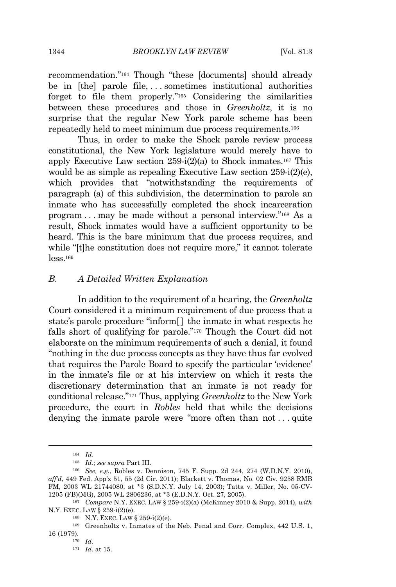1344 **BROOKLYN LAW REVIEW** [Vol. 81:3

recommendation." <sup>164</sup> Though "these [documents] should already be in [the] parole file, . . . sometimes institutional authorities forget to file them properly." <sup>165</sup> Considering the similarities between these procedures and those in *Greenholtz*, it is no surprise that the regular New York parole scheme has been repeatedly held to meet minimum due process requirements*.* 166

Thus, in order to make the Shock parole review process constitutional, the New York legislature would merely have to apply Executive Law section  $259-i(2)(a)$  to Shock inmates.<sup>167</sup> This would be as simple as repealing Executive Law section 259-i(2)(e), which provides that "notwithstanding the requirements of paragraph (a) of this subdivision, the determination to parole an inmate who has successfully completed the shock incarceration program . . . may be made without a personal interview." <sup>168</sup> As a result, Shock inmates would have a sufficient opportunity to be heard. This is the bare minimum that due process requires, and while "[t]he constitution does not require more," it cannot tolerate  $less$ <sup>169</sup>

### *B. A Detailed Written Explanation*

In addition to the requirement of a hearing, the *Greenholtz* Court considered it a minimum requirement of due process that a state's parole procedure "inform[] the inmate in what respects he falls short of qualifying for parole." <sup>170</sup> Though the Court did not elaborate on the minimum requirements of such a denial, it found "nothing in the due process concepts as they have thus far evolved that requires the Parole Board to specify the particular 'evidence' in the inmate's file or at his interview on which it rests the discretionary determination that an inmate is not ready for conditional release." <sup>171</sup> Thus, applying *Greenholtz* to the New York procedure, the court in *Robles* held that while the decisions denying the inmate parole were "more often than not . . . quite

<sup>164</sup> *Id.*

<sup>165</sup> *Id.*; *see supra* Part III.

<sup>166</sup> *See, e.g.*, Robles v. Dennison, 745 F. Supp. 2d 244, 274 (W.D.N.Y. 2010), *aff'd*, 449 Fed. App'x 51, 55 (2d Cir. 2011); Blackett v. Thomas, No. 02 Civ. 9258 RMB FM, 2003 WL 21744080, at \*3 (S.D.N.Y. July 14, 2003); Tatta v. Miller, No. 05-CV-1205 (FB)(MG), 2005 WL 2806236, at \*3 (E.D.N.Y. Oct. 27, 2005).

<sup>167</sup> *Compare* N.Y. EXEC. LAW § 259-i(2)(a) (McKinney 2010 & Supp. 2014), *with* N.Y. EXEC. LAW § 259-i(2)(e).

<sup>168</sup> N.Y. EXEC. LAW § 259-i(2)(e).

<sup>169</sup> Greenholtz v. Inmates of the Neb. Penal and Corr. Complex, 442 U.S. 1, 16 (1979).

<sup>170</sup> *Id.*

<sup>171</sup> *Id.* at 15.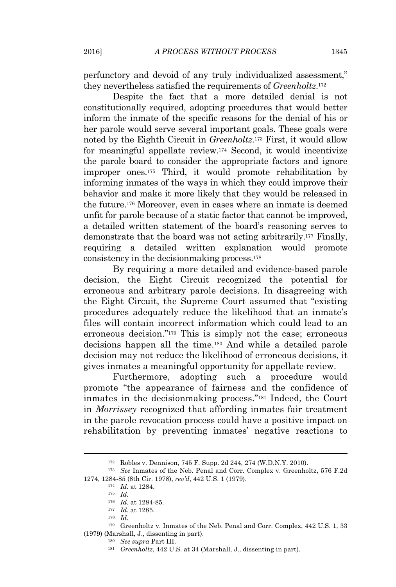perfunctory and devoid of any truly individualized assessment," they nevertheless satisfied the requirements of *Greenholtz*. 172

Despite the fact that a more detailed denial is not constitutionally required, adopting procedures that would better inform the inmate of the specific reasons for the denial of his or her parole would serve several important goals. These goals were noted by the Eighth Circuit in *Greenholtz*. <sup>173</sup> First, it would allow for meaningful appellate review.<sup>174</sup> Second, it would incentivize the parole board to consider the appropriate factors and ignore improper ones.<sup>175</sup> Third, it would promote rehabilitation by informing inmates of the ways in which they could improve their behavior and make it more likely that they would be released in the future.<sup>176</sup> Moreover, even in cases where an inmate is deemed unfit for parole because of a static factor that cannot be improved, a detailed written statement of the board's reasoning serves to demonstrate that the board was not acting arbitrarily.<sup>177</sup> Finally, requiring a detailed written explanation would promote consistency in the decisionmaking process.<sup>178</sup>

By requiring a more detailed and evidence-based parole decision, the Eight Circuit recognized the potential for erroneous and arbitrary parole decisions. In disagreeing with the Eight Circuit, the Supreme Court assumed that "existing procedures adequately reduce the likelihood that an inmate's files will contain incorrect information which could lead to an erroneous decision." <sup>179</sup> This is simply not the case; erroneous decisions happen all the time.<sup>180</sup> And while a detailed parole decision may not reduce the likelihood of erroneous decisions, it gives inmates a meaningful opportunity for appellate review.

Furthermore, adopting such a procedure would promote "the appearance of fairness and the confidence of inmates in the decisionmaking process." <sup>181</sup> Indeed, the Court in *Morrissey* recognized that affording inmates fair treatment in the parole revocation process could have a positive impact on rehabilitation by preventing inmates' negative reactions to

<sup>172</sup> Robles v. Dennison, 745 F. Supp. 2d 244, 274 (W.D.N.Y. 2010).

<sup>173</sup> *See* Inmates of the Neb. Penal and Corr. Complex v. Greenholtz, 576 F.2d 1274, 1284-85 (8th Cir. 1978), *rev'd*, 442 U.S. 1 (1979).

<sup>174</sup> *Id.* at 1284.

<sup>175</sup> *Id.*

<sup>176</sup> *Id.* at 1284-85.

<sup>177</sup> *Id.* at 1285.

<sup>178</sup> *Id.*

<sup>179</sup> Greenholtz v. Inmates of the Neb. Penal and Corr. Complex, 442 U.S. 1, 33 (1979) (Marshall, J., dissenting in part).

<sup>180</sup> *See supra* Part III.

<sup>181</sup> *Greenholtz*, 442 U.S. at 34 (Marshall, J., dissenting in part).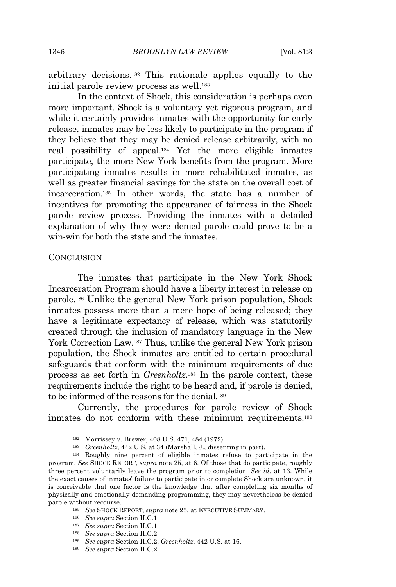arbitrary decisions.<sup>182</sup> This rationale applies equally to the initial parole review process as well.<sup>183</sup>

In the context of Shock, this consideration is perhaps even more important. Shock is a voluntary yet rigorous program, and while it certainly provides inmates with the opportunity for early release, inmates may be less likely to participate in the program if they believe that they may be denied release arbitrarily, with no real possibility of appeal.<sup>184</sup> Yet the more eligible inmates participate, the more New York benefits from the program. More participating inmates results in more rehabilitated inmates, as well as greater financial savings for the state on the overall cost of incarceration.<sup>185</sup> In other words, the state has a number of incentives for promoting the appearance of fairness in the Shock parole review process. Providing the inmates with a detailed explanation of why they were denied parole could prove to be a win-win for both the state and the inmates.

#### **CONCLUSION**

The inmates that participate in the New York Shock Incarceration Program should have a liberty interest in release on parole.<sup>186</sup> Unlike the general New York prison population, Shock inmates possess more than a mere hope of being released; they have a legitimate expectancy of release, which was statutorily created through the inclusion of mandatory language in the New York Correction Law.<sup>187</sup> Thus, unlike the general New York prison population, the Shock inmates are entitled to certain procedural safeguards that conform with the minimum requirements of due process as set forth in *Greenholtz*. <sup>188</sup> In the parole context, these requirements include the right to be heard and, if parole is denied, to be informed of the reasons for the denial.<sup>189</sup>

Currently, the procedures for parole review of Shock inmates do not conform with these minimum requirements.<sup>190</sup>

<sup>182</sup> Morrissey v. Brewer, 408 U.S. 471, 484 (1972).

<sup>183</sup> *Greenholtz*, 442 U.S. at 34 (Marshall, J., dissenting in part).

<sup>184</sup> Roughly nine percent of eligible inmates refuse to participate in the program. *See* SHOCK REPORT, *supra* note 25, at 6. Of those that do participate, roughly three percent voluntarily leave the program prior to completion. *See id.* at 13. While the exact causes of inmates' failure to participate in or complete Shock are unknown, it is conceivable that one factor is the knowledge that after completing six months of physically and emotionally demanding programming, they may nevertheless be denied parole without recourse.

<sup>185</sup> *See* SHOCK REPORT, *supra* note 25, at EXECUTIVE SUMMARY.

<sup>186</sup> *See supra* Section II.C.1.

<sup>187</sup> *See supra* Section II.C.1.

<sup>188</sup> *See supra* Section II.C.2.

<sup>189</sup> *See supra* Section II.C.2; *Greenholtz*, 442 U.S. at 16.

<sup>190</sup> *See supra* Section II.C.2.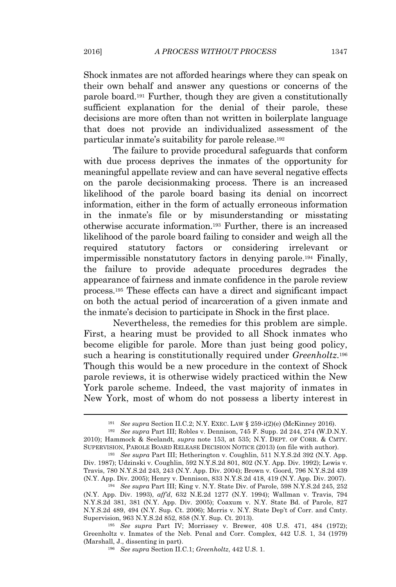Shock inmates are not afforded hearings where they can speak on their own behalf and answer any questions or concerns of the parole board.<sup>191</sup> Further, though they are given a constitutionally sufficient explanation for the denial of their parole, these decisions are more often than not written in boilerplate language that does not provide an individualized assessment of the particular inmate's suitability for parole release.<sup>192</sup>

The failure to provide procedural safeguards that conform with due process deprives the inmates of the opportunity for meaningful appellate review and can have several negative effects on the parole decisionmaking process. There is an increased likelihood of the parole board basing its denial on incorrect information, either in the form of actually erroneous information in the inmate's file or by misunderstanding or misstating otherwise accurate information.<sup>193</sup> Further, there is an increased likelihood of the parole board failing to consider and weigh all the required statutory factors or considering irrelevant or impermissible nonstatutory factors in denying parole.<sup>194</sup> Finally, the failure to provide adequate procedures degrades the appearance of fairness and inmate confidence in the parole review process.<sup>195</sup> These effects can have a direct and significant impact on both the actual period of incarceration of a given inmate and the inmate's decision to participate in Shock in the first place.

Nevertheless, the remedies for this problem are simple. First, a hearing must be provided to all Shock inmates who become eligible for parole. More than just being good policy, such a hearing is constitutionally required under *Greenholtz*. 196 Though this would be a new procedure in the context of Shock parole reviews, it is otherwise widely practiced within the New York parole scheme. Indeed, the vast majority of inmates in New York, most of whom do not possess a liberty interest in

<sup>191</sup> *See supra* Section II.C.2; N.Y. EXEC. LAW § 259-i(2)(e) (McKinney 2016).

<sup>192</sup> *See supra* Part III; Robles v. Dennison, 745 F. Supp. 2d 244, 274 (W.D.N.Y. 2010); Hammock & Seelandt, *supra* note 153, at 535; N.Y. DEPT. OF CORR. & CMTY. SUPERVISION, PAROLE BOARD RELEASE DECISION NOTICE (2013) (on file with author).

<sup>193</sup> *See supra* Part III; Hetherington v. Coughlin, 511 N.Y.S.2d 392 (N.Y. App. Div. 1987); Udzinski v. Coughlin, 592 N.Y.S.2d 801, 802 (N.Y. App. Div. 1992); Lewis v. Travis, 780 N.Y.S.2d 243, 243 (N.Y. App. Div. 2004); Brown v. Goord, 796 N.Y.S.2d 439 (N.Y. App. Div. 2005); Henry v. Dennison, 833 N.Y.S.2d 418, 419 (N.Y. App. Div. 2007).

<sup>194</sup> *See supra* Part III; King v. N.Y. State Div. of Parole, 598 N.Y.S.2d 245, 252 (N.Y. App. Div. 1993), *aff'd*, 632 N.E.2d 1277 (N.Y. 1994); Wallman v. Travis, 794 N.Y.S.2d 381, 381 (N.Y. App. Div. 2005); Coaxum v. N.Y. State Bd. of Parole, 827 N.Y.S.2d 489, 494 (N.Y. Sup. Ct. 2006); Morris v. N.Y. State Dep't of Corr. and Cmty. Supervision, 963 N.Y.S.2d 852, 858 (N.Y. Sup. Ct. 2013).

<sup>195</sup> *See supra* Part IV; Morrissey v. Brewer, 408 U.S. 471, 484 (1972); Greenholtz v. Inmates of the Neb. Penal and Corr. Complex, 442 U.S. 1, 34 (1979) (Marshall, J., dissenting in part).

<sup>196</sup> *See supra* Section II.C.1; *Greenholtz*, 442 U.S. 1.